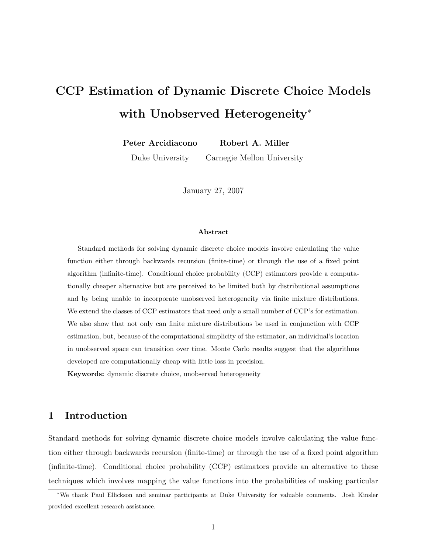# CCP Estimation of Dynamic Discrete Choice Models with Unobserved Heterogeneity<sup>∗</sup>

Peter Arcidiacono Robert A. Miller

Duke University Carnegie Mellon University

January 27, 2007

#### Abstract

Standard methods for solving dynamic discrete choice models involve calculating the value function either through backwards recursion (finite-time) or through the use of a fixed point algorithm (infinite-time). Conditional choice probability (CCP) estimators provide a computationally cheaper alternative but are perceived to be limited both by distributional assumptions and by being unable to incorporate unobserved heterogeneity via finite mixture distributions. We extend the classes of CCP estimators that need only a small number of CCP's for estimation. We also show that not only can finite mixture distributions be used in conjunction with CCP estimation, but, because of the computational simplicity of the estimator, an individual's location in unobserved space can transition over time. Monte Carlo results suggest that the algorithms developed are computationally cheap with little loss in precision.

Keywords: dynamic discrete choice, unobserved heterogeneity

## 1 Introduction

Standard methods for solving dynamic discrete choice models involve calculating the value function either through backwards recursion (finite-time) or through the use of a fixed point algorithm (infinite-time). Conditional choice probability (CCP) estimators provide an alternative to these techniques which involves mapping the value functions into the probabilities of making particular

<sup>∗</sup>We thank Paul Ellickson and seminar participants at Duke University for valuable comments. Josh Kinsler provided excellent research assistance.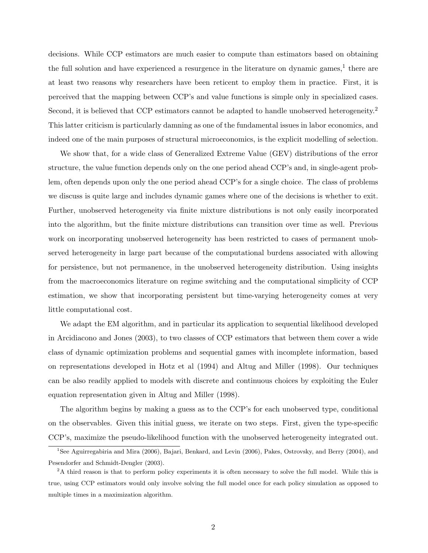decisions. While CCP estimators are much easier to compute than estimators based on obtaining the full solution and have experienced a resurgence in the literature on dynamic games,<sup>1</sup> there are at least two reasons why researchers have been reticent to employ them in practice. First, it is perceived that the mapping between CCP's and value functions is simple only in specialized cases. Second, it is believed that CCP estimators cannot be adapted to handle unobserved heterogeneity.<sup>2</sup> This latter criticism is particularly damning as one of the fundamental issues in labor economics, and indeed one of the main purposes of structural microeconomics, is the explicit modelling of selection.

We show that, for a wide class of Generalized Extreme Value (GEV) distributions of the error structure, the value function depends only on the one period ahead CCP's and, in single-agent problem, often depends upon only the one period ahead CCP's for a single choice. The class of problems we discuss is quite large and includes dynamic games where one of the decisions is whether to exit. Further, unobserved heterogeneity via finite mixture distributions is not only easily incorporated into the algorithm, but the finite mixture distributions can transition over time as well. Previous work on incorporating unobserved heterogeneity has been restricted to cases of permanent unobserved heterogeneity in large part because of the computational burdens associated with allowing for persistence, but not permanence, in the unobserved heterogeneity distribution. Using insights from the macroeconomics literature on regime switching and the computational simplicity of CCP estimation, we show that incorporating persistent but time-varying heterogeneity comes at very little computational cost.

We adapt the EM algorithm, and in particular its application to sequential likelihood developed in Arcidiacono and Jones (2003), to two classes of CCP estimators that between them cover a wide class of dynamic optimization problems and sequential games with incomplete information, based on representations developed in Hotz et al (1994) and Altug and Miller (1998). Our techniques can be also readily applied to models with discrete and continuous choices by exploiting the Euler equation representation given in Altug and Miller (1998).

The algorithm begins by making a guess as to the CCP's for each unobserved type, conditional on the observables. Given this initial guess, we iterate on two steps. First, given the type-specific CCP's, maximize the pseudo-likelihood function with the unobserved heterogeneity integrated out.

<sup>&</sup>lt;sup>1</sup>See Aguirregabiria and Mira (2006), Bajari, Benkard, and Levin (2006), Pakes, Ostrovsky, and Berry (2004), and Pesendorfer and Schmidt-Dengler (2003).

<sup>&</sup>lt;sup>2</sup>A third reason is that to perform policy experiments it is often necessary to solve the full model. While this is true, using CCP estimators would only involve solving the full model once for each policy simulation as opposed to multiple times in a maximization algorithm.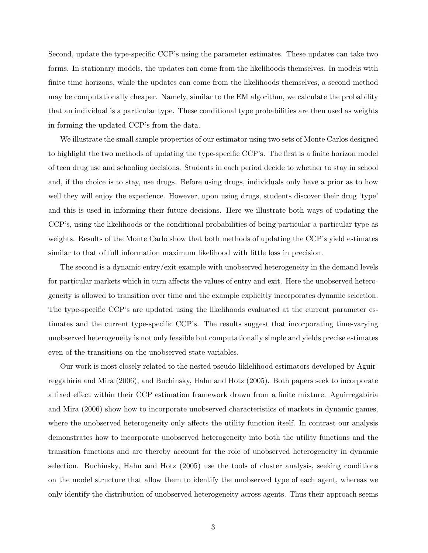Second, update the type-specific CCP's using the parameter estimates. These updates can take two forms. In stationary models, the updates can come from the likelihoods themselves. In models with finite time horizons, while the updates can come from the likelihoods themselves, a second method may be computationally cheaper. Namely, similar to the EM algorithm, we calculate the probability that an individual is a particular type. These conditional type probabilities are then used as weights in forming the updated CCP's from the data.

We illustrate the small sample properties of our estimator using two sets of Monte Carlos designed to highlight the two methods of updating the type-specific CCP's. The first is a finite horizon model of teen drug use and schooling decisions. Students in each period decide to whether to stay in school and, if the choice is to stay, use drugs. Before using drugs, individuals only have a prior as to how well they will enjoy the experience. However, upon using drugs, students discover their drug 'type' and this is used in informing their future decisions. Here we illustrate both ways of updating the CCP's, using the likelihoods or the conditional probabilities of being particular a particular type as weights. Results of the Monte Carlo show that both methods of updating the CCP's yield estimates similar to that of full information maximum likelihood with little loss in precision.

The second is a dynamic entry/exit example with unobserved heterogeneity in the demand levels for particular markets which in turn affects the values of entry and exit. Here the unobserved heterogeneity is allowed to transition over time and the example explicitly incorporates dynamic selection. The type-specific CCP's are updated using the likelihoods evaluated at the current parameter estimates and the current type-specific CCP's. The results suggest that incorporating time-varying unobserved heterogeneity is not only feasible but computationally simple and yields precise estimates even of the transitions on the unobserved state variables.

Our work is most closely related to the nested pseudo-liklelihood estimators developed by Aguirreggabiria and Mira (2006), and Buchinsky, Hahn and Hotz (2005). Both papers seek to incorporate a fixed effect within their CCP estimation framework drawn from a finite mixture. Aguirregabiria and Mira (2006) show how to incorporate unobserved characteristics of markets in dynamic games, where the unobserved heterogeneity only affects the utility function itself. In contrast our analysis demonstrates how to incorporate unobserved heterogeneity into both the utility functions and the transition functions and are thereby account for the role of unobserved heterogeneity in dynamic selection. Buchinsky, Hahn and Hotz (2005) use the tools of cluster analysis, seeking conditions on the model structure that allow them to identify the unobserved type of each agent, whereas we only identify the distribution of unobserved heterogeneity across agents. Thus their approach seems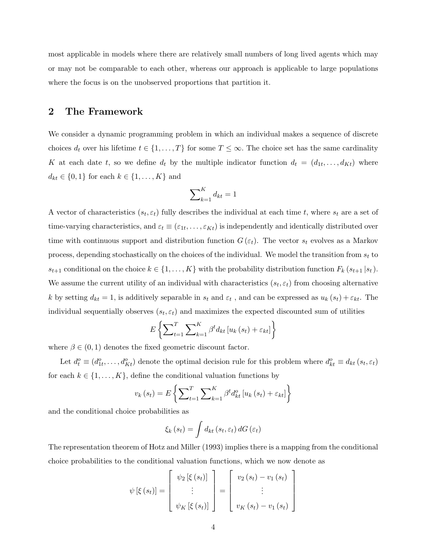most applicable in models where there are relatively small numbers of long lived agents which may or may not be comparable to each other, whereas our approach is applicable to large populations where the focus is on the unobserved proportions that partition it.

## 2 The Framework

We consider a dynamic programming problem in which an individual makes a sequence of discrete choices  $d_t$  over his lifetime  $t \in \{1, ..., T\}$  for some  $T \leq \infty$ . The choice set has the same cardinality K at each date t, so we define  $d_t$  by the multiple indicator function  $d_t = (d_{1t}, \ldots, d_{Kt})$  where  $d_{kt} \in \{0, 1\}$  for each  $k \in \{1, ..., K\}$  and

$$
\sum\nolimits_{k = 1}^K {{d_{kt}}} = 1
$$

A vector of characteristics  $(s_t, \varepsilon_t)$  fully describes the individual at each time t, where  $s_t$  are a set of time-varying characteristics, and  $\varepsilon_t \equiv (\varepsilon_{1t}, \ldots, \varepsilon_{Kt})$  is independently and identically distributed over time with continuous support and distribution function  $G(\varepsilon_t)$ . The vector  $s_t$  evolves as a Markov process, depending stochastically on the choices of the individual. We model the transition from  $s_t$  to  $s_{t+1}$  conditional on the choice  $k \in \{1, ..., K\}$  with the probability distribution function  $F_k(s_{t+1} | s_t)$ . We assume the current utility of an individual with characteristics  $(s_t, \varepsilon_t)$  from choosing alternative k by setting  $d_{kt} = 1$ , is additively separable in  $s_t$  and  $\varepsilon_t$ , and can be expressed as  $u_k(s_t) + \varepsilon_{kt}$ . The individual sequentially observes  $(s_t, \varepsilon_t)$  and maximizes the expected discounted sum of utilities

$$
E\left\{\sum_{t=1}^{T}\sum_{k=1}^{K}\beta^{t}d_{kt}\left[u_{k}\left(s_{t}\right)+\varepsilon_{kt}\right]\right\}
$$

where  $\beta \in (0, 1)$  denotes the fixed geometric discount factor.

Let  $d_t^o \equiv (d_{1t}^o, \ldots, d_{Kt}^o)$  denote the optimal decision rule for this problem where  $d_{kt}^o \equiv d_{kt} (s_t, \varepsilon_t)$ for each  $k \in \{1, \ldots, K\}$ , define the conditional valuation functions by

$$
v_{k}(s_{t}) = E\left\{\sum_{t=1}^{T} \sum_{k=1}^{K} \beta^{t} d_{kt}^{o}\left[u_{k}\left(s_{t}\right) + \varepsilon_{kt}\right]\right\}
$$

and the conditional choice probabilities as

$$
\xi_k(s_t) = \int d_{kt} (s_t, \varepsilon_t) dG(\varepsilon_t)
$$

The representation theorem of Hotz and Miller (1993) implies there is a mapping from the conditional choice probabilities to the conditional valuation functions, which we now denote as

$$
\psi\left[\xi\left(s_{t}\right)\right]=\left[\begin{array}{c}\psi_{2}\left[\xi\left(s_{t}\right)\right] \\ \vdots \\ \psi_{K}\left[\xi\left(s_{t}\right)\right]\end{array}\right]=\left[\begin{array}{c}v_{2}\left(s_{t}\right)-v_{1}\left(s_{t}\right) \\ \vdots \\ v_{K}\left(s_{t}\right)-v_{1}\left(s_{t}\right)\end{array}\right]
$$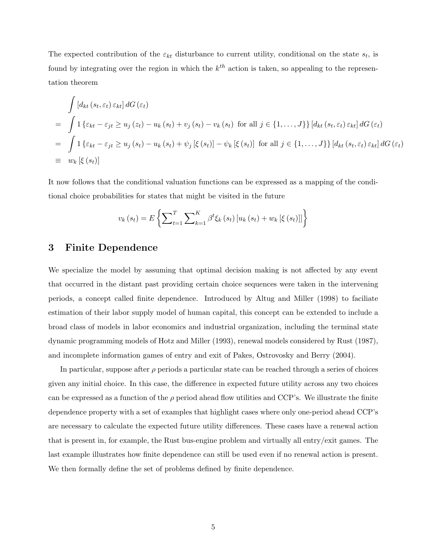The expected contribution of the  $\varepsilon_{kt}$  disturbance to current utility, conditional on the state  $s_t$ , is found by integrating over the region in which the  $k^{th}$  action is taken, so appealing to the representation theorem

$$
\int [d_{kt}(s_t, \varepsilon_t) \varepsilon_{kt}] dG(\varepsilon_t)
$$
\n
$$
= \int 1 \{\varepsilon_{kt} - \varepsilon_{jt} \ge u_j(z_t) - u_k(s_t) + v_j(s_t) - v_k(s_t) \text{ for all } j \in \{1, ..., J\} \} [d_{kt}(s_t, \varepsilon_t) \varepsilon_{kt}] dG(\varepsilon_t)
$$
\n
$$
= \int 1 \{\varepsilon_{kt} - \varepsilon_{jt} \ge u_j(s_t) - u_k(s_t) + \psi_j [\xi(s_t)] - \psi_k [\xi(s_t)] \text{ for all } j \in \{1, ..., J\} \} [d_{kt}(s_t, \varepsilon_t) \varepsilon_{kt}] dG(\varepsilon_t)
$$
\n
$$
\equiv w_k [\xi(s_t)]
$$

It now follows that the conditional valuation functions can be expressed as a mapping of the conditional choice probabilities for states that might be visited in the future

$$
v_{k}(s_{t}) = E\left\{\sum_{t=1}^{T} \sum_{k=1}^{K} \beta^{t} \xi_{k}(s_{t}) \left[u_{k}(s_{t}) + w_{k} \left[\xi\left(s_{t}\right)\right]\right]\right\}
$$

### 3 Finite Dependence

We specialize the model by assuming that optimal decision making is not affected by any event that occurred in the distant past providing certain choice sequences were taken in the intervening periods, a concept called finite dependence. Introduced by Altug and Miller (1998) to faciliate estimation of their labor supply model of human capital, this concept can be extended to include a broad class of models in labor economics and industrial organization, including the terminal state dynamic programming models of Hotz and Miller (1993), renewal models considered by Rust (1987), and incomplete information games of entry and exit of Pakes, Ostrovosky and Berry (2004).

In particular, suppose after  $\rho$  periods a particular state can be reached through a series of choices given any initial choice. In this case, the difference in expected future utility across any two choices can be expressed as a function of the  $\rho$  period ahead flow utilities and CCP's. We illustrate the finite dependence property with a set of examples that highlight cases where only one-period ahead CCP's are necessary to calculate the expected future utility differences. These cases have a renewal action that is present in, for example, the Rust bus-engine problem and virtually all entry/exit games. The last example illustrates how finite dependence can still be used even if no renewal action is present. We then formally define the set of problems defined by finite dependence.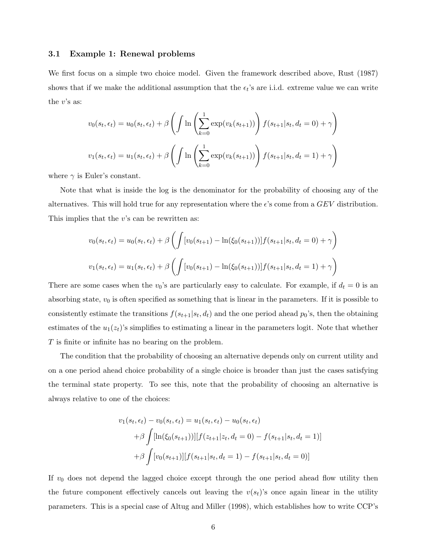#### 3.1 Example 1: Renewal problems

We first focus on a simple two choice model. Given the framework described above, Rust (1987) shows that if we make the additional assumption that the  $\epsilon_t$ 's are i.i.d. extreme value we can write the  $v$ 's as:

$$
v_0(s_t, \epsilon_t) = u_0(s_t, \epsilon_t) + \beta \left( \int \ln \left( \sum_{k=0}^1 \exp(v_k(s_{t+1})) \right) f(s_{t+1}|s_t, d_t = 0) + \gamma \right)
$$

$$
v_1(s_t, \epsilon_t) = u_1(s_t, \epsilon_t) + \beta \left( \int \ln \left( \sum_{k=0}^1 \exp(v_k(s_{t+1})) \right) f(s_{t+1}|s_t, d_t = 1) + \gamma \right)
$$

where  $\gamma$  is Euler's constant.

Note that what is inside the log is the denominator for the probability of choosing any of the alternatives. This will hold true for any representation where the  $\epsilon$ 's come from a  $GEV$  distribution. This implies that the  $v$ 's can be rewritten as:

$$
v_0(s_t, \epsilon_t) = u_0(s_t, \epsilon_t) + \beta \left( \int [v_0(s_{t+1}) - \ln(\xi_0(s_{t+1}))] f(s_{t+1}|s_t, d_t = 0) + \gamma \right)
$$
  

$$
v_1(s_t, \epsilon_t) = u_1(s_t, \epsilon_t) + \beta \left( \int [v_0(s_{t+1}) - \ln(\xi_0(s_{t+1}))] f(s_{t+1}|s_t, d_t = 1) + \gamma \right)
$$

There are some cases when the  $v_0$ 's are particularly easy to calculate. For example, if  $d_t = 0$  is an absorbing state,  $v_0$  is often specified as something that is linear in the parameters. If it is possible to consistently estimate the transitions  $f(s_{t+1}|s_t, d_t)$  and the one period ahead  $p_0$ 's, then the obtaining estimates of the  $u_1(z_t)$ 's simplifies to estimating a linear in the parameters logit. Note that whether T is finite or infinite has no bearing on the problem.

The condition that the probability of choosing an alternative depends only on current utility and on a one period ahead choice probability of a single choice is broader than just the cases satisfying the terminal state property. To see this, note that the probability of choosing an alternative is always relative to one of the choices:

$$
v_1(s_t, \epsilon_t) - v_0(s_t, \epsilon_t) = u_1(s_t, \epsilon_t) - u_0(s_t, \epsilon_t)
$$
  
+  $\beta \int [\ln(\xi_0(s_{t+1}))][f(z_{t+1}|z_t, d_t = 0) - f(s_{t+1}|s_t, d_t = 1)]$   
+  $\beta \int [v_0(s_{t+1})][f(s_{t+1}|s_t, d_t = 1) - f(s_{t+1}|s_t, d_t = 0)]$ 

If  $v_0$  does not depend the lagged choice except through the one period ahead flow utility then the future component effectively cancels out leaving the  $v(s_t)$ 's once again linear in the utility parameters. This is a special case of Altug and Miller (1998), which establishes how to write CCP's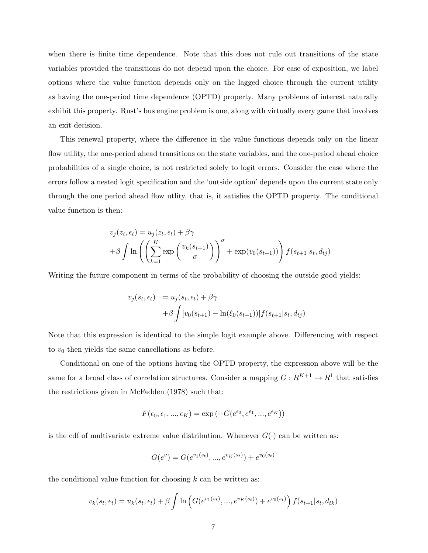when there is finite time dependence. Note that this does not rule out transitions of the state variables provided the transitions do not depend upon the choice. For ease of exposition, we label options where the value function depends only on the lagged choice through the current utility as having the one-period time dependence (OPTD) property. Many problems of interest naturally exhibit this property. Rust's bus engine problem is one, along with virtually every game that involves an exit decision.

This renewal property, where the difference in the value functions depends only on the linear flow utility, the one-period ahead transitions on the state variables, and the one-period ahead choice probabilities of a single choice, is not restricted solely to logit errors. Consider the case where the errors follow a nested logit specification and the 'outside option' depends upon the current state only through the one period ahead flow utlity, that is, it satisfies the OPTD property. The conditional value function is then:

$$
v_j(z_t, \epsilon_t) = u_j(z_t, \epsilon_t) + \beta \gamma
$$
  
+  $\beta \int \ln \left( \left( \sum_{k=1}^K \exp \left( \frac{v_k(s_{t+1})}{\sigma} \right) \right)^{\sigma} + \exp(v_0(s_{t+1})) \right) f(s_{t+1}|s_t, d_{tj})$ 

Writing the future component in terms of the probability of choosing the outside good yields:

$$
v_j(s_t, \epsilon_t) = u_j(s_t, \epsilon_t) + \beta \gamma
$$
  
+  $\beta \int [v_0(s_{t+1}) - \ln(\xi_0(s_{t+1}))] f(s_{t+1}|s_t, d_{tj})$ 

Note that this expression is identical to the simple logit example above. Differencing with respect to  $v_0$  then yields the same cancellations as before.

Conditional on one of the options having the OPTD property, the expression above will be the same for a broad class of correlation structures. Consider a mapping  $G: R^{K+1} \to R^1$  that satisfies the restrictions given in McFadden (1978) such that:

$$
F(\epsilon_0, \epsilon_1, ..., \epsilon_K) = \exp(-G(e^{\epsilon_0}, e^{\epsilon_1}, ..., e^{\epsilon_K}))
$$

is the cdf of multivariate extreme value distribution. Whenever  $G(\cdot)$  can be written as:

$$
G(e^{v}) = G(e^{v_1(s_t)}, ..., e^{v_K(s_t)}) + e^{v_0(s_t)}
$$

the conditional value function for choosing  $k$  can be written as:

$$
v_k(s_t, \epsilon_t) = u_k(s_t, \epsilon_t) + \beta \int \ln \left( G(e^{v_1(s_t)}, ..., e^{v_K(s_t)}) + e^{v_0(s_t)} \right) f(s_{t+1}|s_t, d_{tk})
$$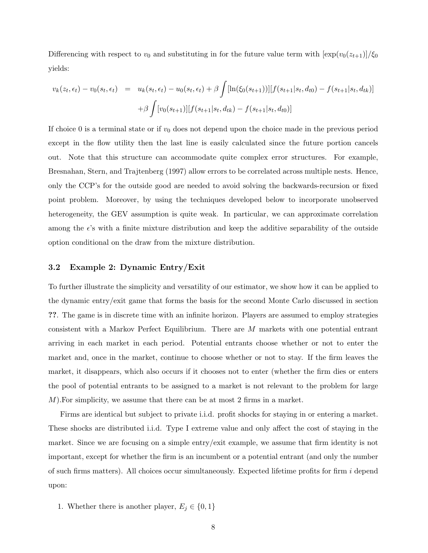Differencing with respect to  $v_0$  and substituting in for the future value term with  $[\exp(v_0(z_{t+1}))/\xi_0]$ yields:

$$
v_k(z_t, \epsilon_t) - v_0(s_t, \epsilon_t) = u_k(s_t, \epsilon_t) - u_0(s_t, \epsilon_t) + \beta \int [\ln(\xi_0(s_{t+1}))][f(s_{t+1}|s_t, d_{t0}) - f(s_{t+1}|s_t, d_{tk})]
$$

$$
+ \beta \int [v_0(s_{t+1})][f(s_{t+1}|s_t, d_{tk}) - f(s_{t+1}|s_t, d_{t0})]
$$

If choice 0 is a terminal state or if  $v_0$  does not depend upon the choice made in the previous period except in the flow utility then the last line is easily calculated since the future portion cancels out. Note that this structure can accommodate quite complex error structures. For example, Bresnahan, Stern, and Trajtenberg (1997) allow errors to be correlated across multiple nests. Hence, only the CCP's for the outside good are needed to avoid solving the backwards-recursion or fixed point problem. Moreover, by using the techniques developed below to incorporate unobserved heterogeneity, the GEV assumption is quite weak. In particular, we can approximate correlation among the  $\epsilon$ 's with a finite mixture distribution and keep the additive separability of the outside option conditional on the draw from the mixture distribution.

#### 3.2 Example 2: Dynamic Entry/Exit

To further illustrate the simplicity and versatility of our estimator, we show how it can be applied to the dynamic entry/exit game that forms the basis for the second Monte Carlo discussed in section ??. The game is in discrete time with an infinite horizon. Players are assumed to employ strategies consistent with a Markov Perfect Equilibrium. There are M markets with one potential entrant arriving in each market in each period. Potential entrants choose whether or not to enter the market and, once in the market, continue to choose whether or not to stay. If the firm leaves the market, it disappears, which also occurs if it chooses not to enter (whether the firm dies or enters the pool of potential entrants to be assigned to a market is not relevant to the problem for large M).For simplicity, we assume that there can be at most 2 firms in a market.

Firms are identical but subject to private i.i.d. profit shocks for staying in or entering a market. These shocks are distributed i.i.d. Type I extreme value and only affect the cost of staying in the market. Since we are focusing on a simple entry/exit example, we assume that firm identity is not important, except for whether the firm is an incumbent or a potential entrant (and only the number of such firms matters). All choices occur simultaneously. Expected lifetime profits for firm  $i$  depend upon:

1. Whether there is another player,  $E_j \in \{0, 1\}$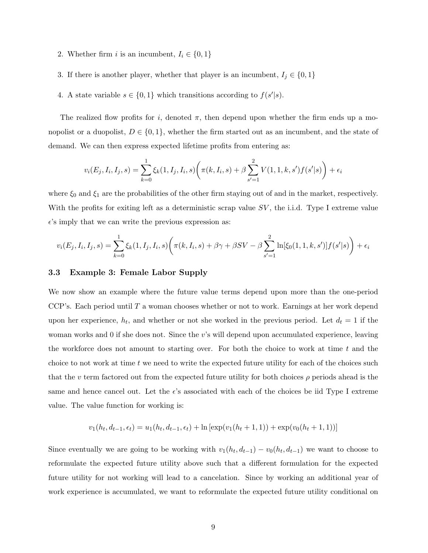- 2. Whether firm i is an incumbent,  $I_i \in \{0, 1\}$
- 3. If there is another player, whether that player is an incumbent,  $I_j \in \{0, 1\}$
- 4. A state variable  $s \in \{0,1\}$  which transitions according to  $f(s'|s)$ .

The realized flow profits for i, denoted  $\pi$ , then depend upon whether the firm ends up a monopolist or a duopolist,  $D \in \{0,1\}$ , whether the firm started out as an incumbent, and the state of demand. We can then express expected lifetime profits from entering as:

$$
v_i(E_j, I_i, I_j, s) = \sum_{k=0}^{1} \xi_k(1, I_j, I_i, s) \left(\pi(k, I_i, s) + \beta \sum_{s'=1}^{2} V(1, 1, k, s') f(s'|s)\right) + \epsilon_i
$$

where  $\xi_0$  and  $\xi_1$  are the probabilities of the other firm staying out of and in the market, respectively. With the profits for exiting left as a deterministic scrap value  $SV$ , the i.i.d. Type I extreme value  $\epsilon$ 's imply that we can write the previous expression as:

$$
v_i(E_j, I_i, I_j, s) = \sum_{k=0}^{1} \xi_k(1, I_j, I_i, s) \left( \pi(k, I_i, s) + \beta \gamma + \beta SV - \beta \sum_{s'=1}^{2} \ln[\xi_0(1, 1, k, s')] f(s'|s) \right) + \epsilon_i
$$

#### 3.3 Example 3: Female Labor Supply

We now show an example where the future value terms depend upon more than the one-period CCP's. Each period until  $T$  a woman chooses whether or not to work. Earnings at her work depend upon her experience,  $h_t$ , and whether or not she worked in the previous period. Let  $d_t = 1$  if the woman works and 0 if she does not. Since the v's will depend upon accumulated experience, leaving the workforce does not amount to starting over. For both the choice to work at time  $t$  and the choice to not work at time  $t$  we need to write the expected future utility for each of the choices such that the v term factored out from the expected future utility for both choices  $\rho$  periods ahead is the same and hence cancel out. Let the  $\epsilon$ 's associated with each of the choices be iid Type I extreme value. The value function for working is:

$$
v_1(h_t, d_{t-1}, \epsilon_t) = u_1(h_t, d_{t-1}, \epsilon_t) + \ln \left[ \exp(v_1(h_t + 1, 1)) + \exp(v_0(h_t + 1, 1)) \right]
$$

Since eventually we are going to be working with  $v_1(h_t, d_{t-1}) - v_0(h_t, d_{t-1})$  we want to choose to reformulate the expected future utility above such that a different formulation for the expected future utility for not working will lead to a cancelation. Since by working an additional year of work experience is accumulated, we want to reformulate the expected future utility conditional on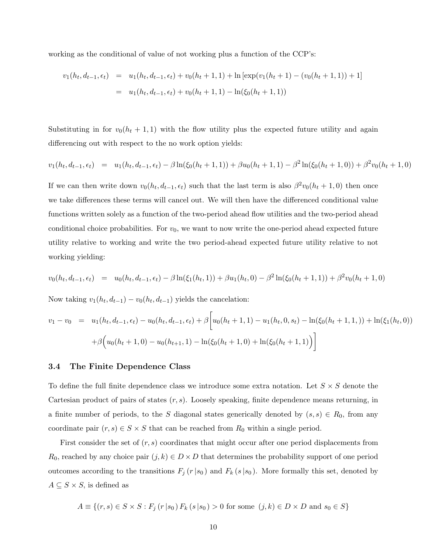working as the conditional of value of not working plus a function of the CCP's:

$$
v_1(h_t, d_{t-1}, \epsilon_t) = u_1(h_t, d_{t-1}, \epsilon_t) + v_0(h_t + 1, 1) + \ln \left[ \exp(v_1(h_t + 1) - (v_0(h_t + 1, 1)) + 1 \right]
$$
  
=  $u_1(h_t, d_{t-1}, \epsilon_t) + v_0(h_t + 1, 1) - \ln(\xi_0(h_t + 1, 1))$ 

Substituting in for  $v_0(h_t + 1, 1)$  with the flow utility plus the expected future utility and again differencing out with respect to the no work option yields:

$$
v_1(h_t, d_{t-1}, \epsilon_t) = u_1(h_t, d_{t-1}, \epsilon_t) - \beta \ln(\xi_0(h_t+1, 1)) + \beta u_0(h_t+1, 1) - \beta^2 \ln(\xi_0(h_t+1, 0)) + \beta^2 v_0(h_t+1, 0)
$$

If we can then write down  $v_0(h_t, d_{t-1}, \epsilon_t)$  such that the last term is also  $\beta^2 v_0(h_t + 1, 0)$  then once we take differences these terms will cancel out. We will then have the differenced conditional value functions written solely as a function of the two-period ahead flow utilities and the two-period ahead conditional choice probabilities. For  $v_0$ , we want to now write the one-period ahead expected future utility relative to working and write the two period-ahead expected future utility relative to not working yielding:

$$
v_0(h_t, d_{t-1}, \epsilon_t) = u_0(h_t, d_{t-1}, \epsilon_t) - \beta \ln(\xi_1(h_t, 1)) + \beta u_1(h_t, 0) - \beta^2 \ln(\xi_0(h_t + 1, 1)) + \beta^2 v_0(h_t + 1, 0)
$$

Now taking  $v_1(h_t, d_{t-1}) - v_0(h_t, d_{t-1})$  yields the cancelation:

$$
v_1 - v_0 = u_1(h_t, d_{t-1}, \epsilon_t) - u_0(h_t, d_{t-1}, \epsilon_t) + \beta \left[ u_0(h_t + 1, 1) - u_1(h_t, 0, s_t) - \ln(\xi_0(h_t + 1, 1, 1)) + \ln(\xi_1(h_t, 0)) + \beta \left( u_0(h_t + 1, 0) - u_0(h_{t+1}, 1) - \ln(\xi_0(h_t + 1, 0) + \ln(\xi_0(h_t + 1, 1)) \right) \right]
$$

#### 3.4 The Finite Dependence Class

To define the full finite dependence class we introduce some extra notation. Let  $S \times S$  denote the Cartesian product of pairs of states  $(r, s)$ . Loosely speaking, finite dependence means returning, in a finite number of periods, to the S diagonal states generically denoted by  $(s, s) \in R_0$ , from any coordinate pair  $(r, s) \in S \times S$  that can be reached from  $R_0$  within a single period.

First consider the set of  $(r, s)$  coordinates that might occur after one period displacements from  $R_0$ , reached by any choice pair  $(j, k) \in D \times D$  that determines the probability support of one period outcomes according to the transitions  $F_j(r|s_0)$  and  $F_k(s|s_0)$ . More formally this set, denoted by  $A \subseteq S \times S$ , is defined as

$$
A \equiv \{(r, s) \in S \times S : F_j(r \mid s_0) F_k(s \mid s_0) > 0 \text{ for some } (j, k) \in D \times D \text{ and } s_0 \in S\}
$$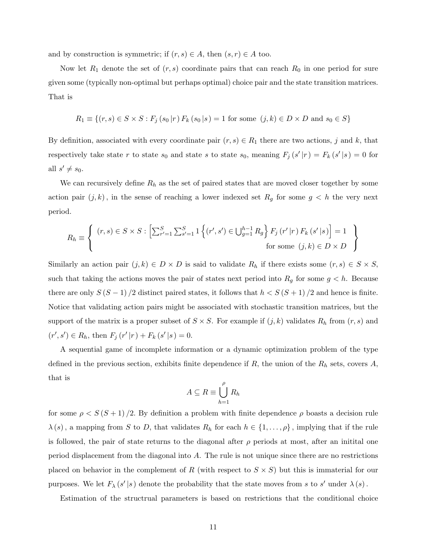and by construction is symmetric; if  $(r, s) \in A$ , then  $(s, r) \in A$  too.

Now let  $R_1$  denote the set of  $(r, s)$  coordinate pairs that can reach  $R_0$  in one period for sure given some (typically non-optimal but perhaps optimal) choice pair and the state transition matrices. That is

$$
R_1 \equiv \{(r, s) \in S \times S : F_j(s_0|r) F_k(s_0|s) = 1 \text{ for some } (j, k) \in D \times D \text{ and } s_0 \in S\}
$$

By definition, associated with every coordinate pair  $(r, s) \in R_1$  there are two actions, j and k, that respectively take state r to state  $s_0$  and state s to state  $s_0$ , meaning  $F_j(s'|r) = F_k(s'|s) = 0$  for all  $s' \neq s_0$ .

We can recursively define  $R_h$  as the set of paired states that are moved closer together by some action pair  $(j, k)$ , in the sense of reaching a lower indexed set  $R_g$  for some  $g < h$  the very next period.

$$
R_{h} \equiv \left\{ \begin{array}{c} (r,s) \in S \times S : \left[ \sum_{r'=1}^{S} \sum_{s'=1}^{S} 1 \left\{ (r',s') \in \bigcup_{g=1}^{h-1} R_{g} \right\} F_{j} (r' | r) F_{k} (s' | s) \right] = 1 \\ \text{for some } (j,k) \in D \times D \end{array} \right\}
$$

Similarly an action pair  $(j, k) \in D \times D$  is said to validate  $R_h$  if there exists some  $(r, s) \in S \times S$ , such that taking the actions moves the pair of states next period into  $R_g$  for some  $g < h$ . Because there are only  $S(S-1)/2$  distinct paired states, it follows that  $h < S(S+1)/2$  and hence is finite. Notice that validating action pairs might be associated with stochastic transition matrices, but the support of the matrix is a proper subset of  $S \times S$ . For example if  $(j, k)$  validates  $R_h$  from  $(r, s)$  and  $(r', s') \in R_h$ , then  $F_j(r' | r) + F_k(s' | s) = 0$ .

A sequential game of incomplete information or a dynamic optimization problem of the type defined in the previous section, exhibits finite dependence if  $R$ , the union of the  $R_h$  sets, covers  $A$ , that is

$$
A \subseteq R \equiv \bigcup_{h=1}^{\rho} R_h
$$

for some  $\rho < S(S+1)/2$ . By definition a problem with finite dependence  $\rho$  boasts a decision rule  $\lambda(s)$ , a mapping from S to D, that validates  $R_h$  for each  $h \in \{1, \ldots, \rho\}$ , implying that if the rule is followed, the pair of state returns to the diagonal after  $\rho$  periods at most, after an initital one period displacement from the diagonal into A. The rule is not unique since there are no restrictions placed on behavior in the complement of R (with respect to  $S \times S$ ) but this is immaterial for our purposes. We let  $F_{\lambda}(s'|s)$  denote the probability that the state moves from s to s' under  $\lambda(s)$ .

Estimation of the structrual parameters is based on restrictions that the conditional choice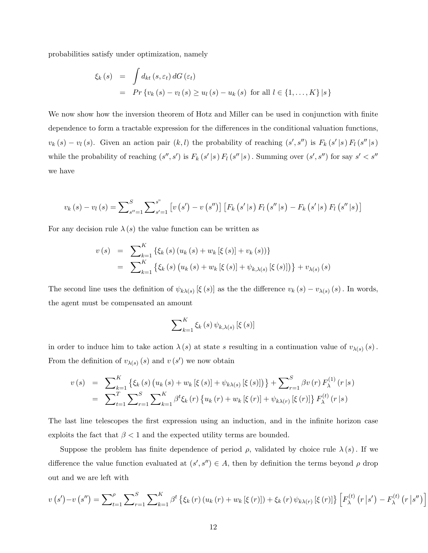probabilities satisfy under optimization, namely

$$
\xi_{k}(s) = \int d_{kt}(s, \varepsilon_{t}) dG(\varepsilon_{t})
$$
  
=  $Pr \{v_{k}(s) - v_{l}(s) \ge u_{l}(s) - u_{k}(s) \text{ for all } l \in \{1, ..., K\} | s \}$ 

We now show how the inversion theorem of Hotz and Miller can be used in conjunction with finite dependence to form a tractable expression for the differences in the conditional valuation functions,  $v_k(s) - v_l(s)$ . Given an action pair  $(k, l)$  the probability of reaching  $(s', s'')$  is  $F_k(s' | s) F_l(s'' | s)$ while the probability of reaching  $(s'', s')$  is  $F_k(s' | s) F_l(s'' | s)$ . Summing over  $(s', s'')$  for say  $s' < s''$ we have

$$
v_{k}(s) - v_{l}(s) = \sum_{s''=1}^{S} \sum_{s'=1}^{s''} \left[ v(s') - v(s'') \right] \left[ F_{k}(s' | s) F_{l}(s'' | s) - F_{k}(s' | s) F_{l}(s'' | s) \right]
$$

For any decision rule  $\lambda(s)$  the value function can be written as

$$
v(s) = \sum_{k=1}^{K} \left\{ \xi_k(s) \left( u_k(s) + w_k \left[ \xi(s) \right] + v_k(s) \right) \right\}
$$
  
= 
$$
\sum_{k=1}^{K} \left\{ \xi_k(s) \left( u_k(s) + w_k \left[ \xi(s) \right] + \psi_{k,\lambda(s)} \left[ \xi(s) \right] \right) \right\} + v_{\lambda(s)}(s)
$$

The second line uses the definition of  $\psi_{k\lambda(s)}$  [ξ (s)] as the the difference  $v_k(s) - v_{\lambda(s)}(s)$ . In words, the agent must be compensated an amount

$$
\sum\nolimits_{k=1}^{K} \xi_{k}\left(s\right)\psi_{k,\lambda\left(s\right)}\left[\xi\left(s\right)\right]
$$

in order to induce him to take action  $\lambda(s)$  at state s resulting in a continuation value of  $v_{\lambda(s)}(s)$ . From the definition of  $v_{\lambda(s)}(s)$  and  $v(s')$  we now obtain

$$
v(s) = \sum_{k=1}^{K} \left\{ \xi_k(s) \left( u_k(s) + w_k \left[ \xi(s) \right] + \psi_{k\lambda(s)} \left[ \xi(s) \right] \right) \right\} + \sum_{r=1}^{S} \beta v(r) F_{\lambda}^{(1)}(r|s)
$$
  
= 
$$
\sum_{t=1}^{T} \sum_{r=1}^{S} \sum_{k=1}^{K} \beta^t \xi_k(r) \left\{ u_k(r) + w_k \left[ \xi(r) \right] + \psi_{k\lambda(r)} \left[ \xi(r) \right] \right\} F_{\lambda}^{(t)}(r|s)
$$

The last line telescopes the first expression using an induction, and in the infinite horizon case exploits the fact that  $\beta < 1$  and the expected utility terms are bounded.

Suppose the problem has finite dependence of period  $\rho$ , validated by choice rule  $\lambda(s)$ . If we difference the value function evaluated at  $(s', s'') \in A$ , then by definition the terms beyond  $\rho$  drop out and we are left with

$$
v(s') - v(s'') = \sum_{t=1}^{\rho} \sum_{r=1}^{S} \sum_{k=1}^{K} \beta^{t} \left\{ \xi_{k}(r) \left( u_{k}(r) + w_{k} \left[ \xi(r) \right] \right) + \xi_{k}(r) \psi_{k}(\gamma) \left[ \xi(r) \right] \right\} \left[ F_{\lambda}^{(t)}(r \left| s' \right) - F_{\lambda}^{(t)}(r \left| s'' \right) \right]
$$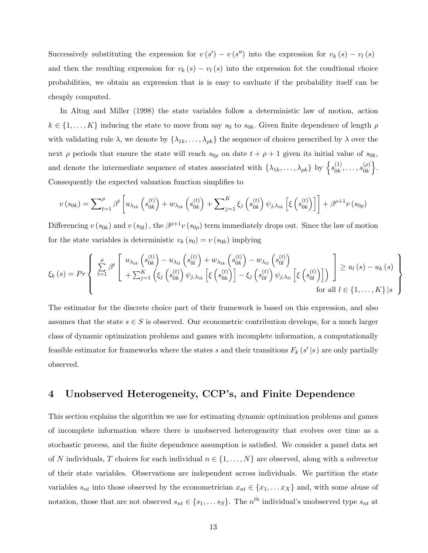Successively substituting the expression for  $v(s') - v(s'')$  into the expression for  $v_k(s) - v_l(s)$ and then the resulting expression for  $v_k(s) - v_l(s)$  into the expression fot the condtional choice probabilities, we obtain an expression that is is easy to eavluate if the probability itself can be cheaply computed.

In Altug and Miller (1998) the state variables follow a deterministic law of motion, action  $k \in \{1, \ldots, K\}$  inducing the state to move from say  $s_0$  to  $s_{0k}$ . Given finite dependence of length  $\rho$ with validating rule  $\lambda$ , we denote by  $\{\lambda_{1k},\ldots,\lambda_{\rho k}\}\)$  the sequence of choices prescribed by  $\lambda$  over the next  $\rho$  periods that ensure the state will reach  $s_{0\rho}$  on date  $t + \rho + 1$  given its initial value of  $s_{0k}$ , and denote the intermediate sequence of states associated with  $\{\lambda_{1k}, \ldots, \lambda_{\rho k}\}\;$  by  $\{s_{0k}^{(1)}\}$  $\frac{(1)}{0k},\ldots,s\frac{(p)}{0k}$  $\begin{matrix}(\rho)\0k\end{matrix}$ . Consequently the expected valuation function simplifies to

$$
v(s_{0k}) = \sum_{t=1}^{\rho} \beta^{t} \left[ u_{\lambda_{tk}} \left( s_{0k}^{(t)} \right) + w_{\lambda_{tk}} \left( s_{0k}^{(t)} \right) + \sum_{j=1}^{K} \xi_{j} \left( s_{0k}^{(t)} \right) \psi_{j,\lambda_{tk}} \left[ \xi \left( s_{0k}^{(t)} \right) \right] \right] + \beta^{\rho+1} v(s_{0\rho})
$$

Differencing  $v(s_{0k})$  and  $v(s_{0l})$ , the  $\beta^{\rho+1}v(s_{0\rho})$  term immediately drops out. Since the law of motion for the state variables is deterministic  $v_k(s_0) = v(s_{0k})$  implying

$$
\xi_{k}(s) = Pr\left\{\begin{array}{l}\sum_{t=1}^{\rho}\beta^{t}\left[\begin{array}{c}u_{\lambda_{tk}}\left(s_{0k}^{(t)}\right)-u_{\lambda_{tl}}\left(s_{0l}^{(t)}\right)+w_{\lambda_{tk}}\left(s_{0k}^{(t)}\right)-w_{\lambda_{tl}}\left(s_{0l}^{(t)}\right)\right] \\ +\sum_{j=1}^{K}\left(\xi_{j}\left(s_{0k}^{(t)}\right)\psi_{j,\lambda_{tk}}\left[\xi\left(s_{0k}^{(t)}\right)\right]-\xi_{j}\left(s_{0l}^{(t)}\right)\psi_{j,\lambda_{tl}}\left[\xi\left(s_{0l}^{(t)}\right)\right]\right)\end{array}\right] \geq u_{l}(s) - u_{k}(s)\right\} \text{ for all } l \in \{1,\ldots,K\}\left|s\right\rangle
$$

The estimator for the discrete choice part of their framework is based on this expression, and also assumes that the state  $s \in S$  is observed. Our econometric contribution develops, for a much larger class of dynamic optimization problems and games with incomplete information, a computationally feasible estimator for frameworks where the states s and their transitions  $F_k(s'|s)$  are only partially observed.

## 4 Unobserved Heterogeneity, CCP's, and Finite Dependence

This section explains the algorithm we use for estimating dynamic optimization problems and games of incomplete information where there is unobserved heterogeneity that evolves over time as a stochastic process, and the finite dependence assumption is satisfied. We consider a panel data set of N individuals, T choices for each individual  $n \in \{1, \ldots, N\}$  are observed, along with a subvector of their state variables. Observations are independent across individuals. We partition the state variables  $s_{nt}$  into those observed by the econometrician  $x_{nt} \in \{x_1, \ldots x_X\}$  and, with some abuse of notation, those that are not observed  $s_{nt} \in \{s_1, \ldots s_S\}$ . The  $n^{th}$  individual's unobserved type  $s_{nt}$  at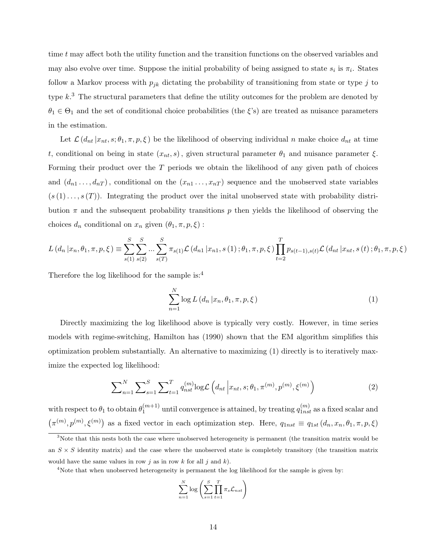time t may affect both the utility function and the transition functions on the observed variables and may also evolve over time. Suppose the initial probability of being assigned to state  $s_i$  is  $\pi_i$ . States follow a Markov process with  $p_{jk}$  dictating the probability of transitioning from state or type j to type  $k<sup>3</sup>$ . The structural parameters that define the utility outcomes for the problem are denoted by  $\theta_1 \in \Theta_1$  and the set of conditional choice probabilities (the  $\xi$ 's) are treated as nuisance parameters in the estimation.

Let  $\mathcal{L}(d_{nt} | x_{nt}, s; \theta_1, \pi, p, \xi)$  be the likelihood of observing individual n make choice  $d_{nt}$  at time t, conditional on being in state  $(x_{nt}, s)$ , given structural parameter  $\theta_1$  and nuisance parameter  $\xi$ . Forming their product over the  $T$  periods we obtain the likelihood of any given path of choices and  $(d_{n1},...,d_{nT})$ , conditional on the  $(x_{n1},...,x_{nT})$  sequence and the unobserved state variables  $(s(1), \ldots, s(T))$ . Integrating the product over the inital unobserved state with probability distribution  $\pi$  and the subsequent probability transitions p then yields the likelihood of observing the choices  $d_n$  conditional on  $x_n$  given  $(\theta_1, \pi, p, \xi)$ :

$$
L(d_n | x_n, \theta_1, \pi, p, \xi) \equiv \sum_{s(1)}^{S} \sum_{s(2)}^{S} \dots \sum_{s(T)}^{S} \pi_{s(1)} \mathcal{L}(d_{n1} | x_{n1}, s(1); \theta_1, \pi, p, \xi) \prod_{t=2}^{T} p_{s(t-1), s(t)} \mathcal{L}(d_{nt} | x_{nt}, s(t); \theta_1, \pi, p, \xi)
$$

Therefore the log likelihood for the sample is:<sup>4</sup>

$$
\sum_{n=1}^{N} \log L\left(d_n \left|x_n, \theta_1, \pi, p, \xi\right.\right) \tag{1}
$$

Directly maximizing the log likelihood above is typically very costly. However, in time series models with regime-switching, Hamilton has (1990) shown that the EM algorithm simplifies this optimization problem substantially. An alternative to maximizing (1) directly is to iteratively maximize the expected log likelihood:

$$
\sum_{n=1}^{N} \sum_{s=1}^{S} \sum_{t=1}^{T} q_{nst}^{(m)} \log \mathcal{L} \left( d_{nt} \left| x_{nt}, s; \theta_1, \pi^{(m)}, p^{(m)}, \xi^{(m)} \right. \right) \tag{2}
$$

with respect to  $\theta_1$  to obtain  $\theta_1^{(m+1)}$  $\binom{(m+1)}{1}$  until convergence is attained, by treating  $q_{1nst}^{(m)}$  as a fixed scalar and  $(\pi^{(m)}, p^{(m)}, \xi^{(m)})$  as a fixed vector in each optimization step. Here,  $q_{1nst} \equiv q_{1st} (d_n, x_n, \theta_1, \pi, p, \xi)$ 

$$
\sum_{n=1}^{N} \log \left( \sum_{s=1}^{S} \prod_{t=1}^{T} \pi_{s} \mathcal{L}_{nst} \right)
$$

<sup>&</sup>lt;sup>3</sup>Note that this nests both the case where unobserved heterogeneity is permanent (the transition matrix would be an  $S \times S$  identity matrix) and the case where the unobserved state is completely transitory (the transition matrix would have the same values in row j as in row k for all j and k).

<sup>&</sup>lt;sup>4</sup>Note that when unobserved heterogeneity is permanent the log likelihood for the sample is given by: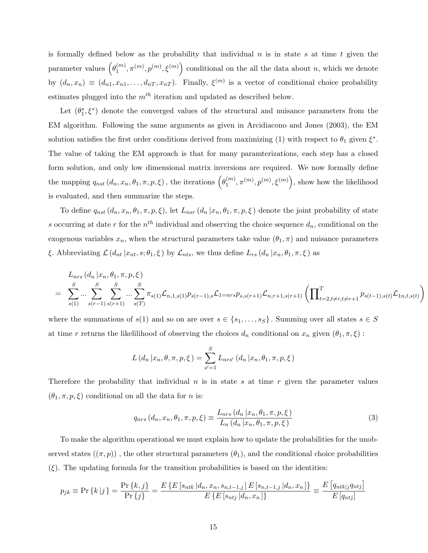is formally defined below as the probability that individual  $n$  is in state s at time t given the parameter values  $(\theta_1^{(m)})$  $\binom{m}{1}, \pi^{(m)}, p^{(m)}, \xi^{(m)}$  conditional on the all the data about n, which we denote by  $(d_n, x_n) \equiv (d_{n1}, x_{n1}, \dots, d_{nT}, x_{nT})$ . Finally,  $\xi^{(m)}$  is a vector of conditional choice probability estimates plugged into the  $m<sup>th</sup>$  iteration and updated as described below.

Let  $(\theta_1^*, \xi^*)$  denote the converged values of the structural and nuisance parameters from the EM algorithm. Following the same arguments as given in Arcidiacono and Jones (2003), the EM solution satisfies the first order conditions derived from maximizing (1) with respect to  $\theta_1$  given  $\xi^*$ . The value of taking the EM approach is that for many paramterizations, each step has a closed form solution, and only low dimensional matrix inversions are required. We now formally define the mapping  $q_{nst}$   $(d_n, x_n, \theta_1, \pi, p, \xi)$ , the iterations  $(\theta_1^{(m)}$  $\binom{m}{1}, \pi^{(m)}, p^{(m)}, \xi^{(m)}\Big)$ , show how the likelihood is evaluated, and then summarize the steps.

To define  $q_{nst}(d_n, x_n, \theta_1, \pi, p, \xi)$ , let  $L_{nsr}(d_n | x_n, \theta_1, \pi, p, \xi)$  denote the joint probability of state s occurring at date r for the  $n^{th}$  individual and observing the choice sequence  $d_n$ , conditional on the exogenous variables  $x_n$ , when the structural parameters take value  $(\theta_1, \pi)$  and nuisance parameters ξ. Abbreviating  $\mathcal{L}(d_{nt} | x_{nt}, s; \theta_1, \xi)$  by  $\mathcal{L}_{nts}$ , we thus define  $L_{rs}(d_n | x_n, \theta_1, \pi, \xi)$  as

$$
L_{nrs} (d_n | x_n, \theta_1, \pi, p, \xi)
$$
  
= 
$$
\sum_{s(1)}^{S} \sum_{s(r-1)}^{S} \sum_{s(r+1)}^{S} \sum_{s(T)}^{S} \pi_{s(1)} \mathcal{L}_{n,1,s(1)} p_{s(r-1),s} \mathcal{L}_{1=nrs} p_{s,s(r+1)} \mathcal{L}_{n,r+1,s(r+1)} \left( \prod_{t=2, t \neq r, t \neq r+1}^{T} p_{s(t-1),s(t)} \mathcal{L}_{1n,t,s(t)} \right)
$$

where the summations of  $s(1)$  and so on are over  $s \in \{s_1, \ldots, s_S\}$ . Summing over all states  $s \in S$ at time r returns the likelilihood of observing the choices  $d_n$  conditional on  $x_n$  given  $(\theta_1, \pi, \xi)$ :

$$
L(d_n | x_n, \theta, \pi, p, \xi) = \sum_{s'=1}^{S} L_{nrs'}(d_n | x_n, \theta_1, \pi, p, \xi)
$$

Therefore the probability that individual  $n$  is in state  $s$  at time  $r$  given the parameter values  $(\theta_1, \pi, p, \xi)$  conditional on all the data for *n* is:

$$
q_{nrs} (d_n, x_n, \theta_1, \pi, p, \xi) \equiv \frac{L_{nrs} (d_n | x_n, \theta_1, \pi, p, \xi)}{L_n (d_n | x_n, \theta_1, \pi, p, \xi)}
$$
(3)

To make the algorithm operational we must explain how to update the probabilities for the unobserved states  $((\pi, p))$ , the other structural parameters  $(\theta_1)$ , and the conditional choice probabilities  $(\xi)$ . The updating formula for the transition probabilities is based on the identities:

$$
p_{jk} \equiv \Pr\left\{k \left|j\right.\right\} = \frac{\Pr\left\{k, j\right\}}{\Pr\left\{j\right\}} = \frac{E\left\{E\left[s_{ntk} \left|d_n, x_n, s_{n,t-1,j}\right| E\left[s_{n,t-1,j} \left|d_n, x_n\right]\right\}\right\}}{E\left\{E\left[s_{ntj} \left|d_n, x_n\right|\right\}\right\}} \equiv \frac{E\left[q_{ntk|j} q_{ntj}\right]}{E\left[q_{ntj}\right]}
$$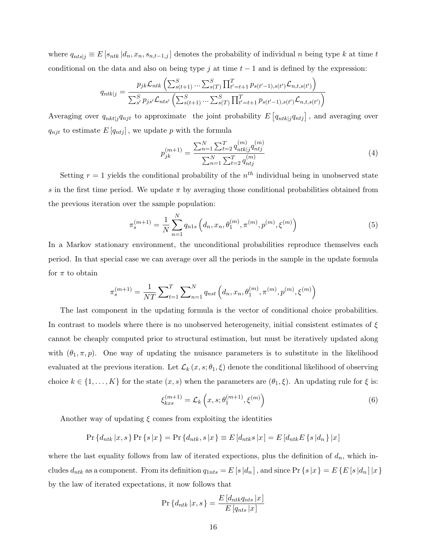where  $q_{nts|j} \equiv E[s_{ntk} | d_n, x_n, s_{n,t-1,j}]$  denotes the probability of individual n being type k at time t conditional on the data and also on being type j at time  $t - 1$  and is defined by the expression:

$$
q_{ntk|j} = \frac{p_{jk} \mathcal{L}_{ntk} \left( \sum_{s(t+1)}^{S} \dots \sum_{s(T)}^{S} \prod_{t'=t+1}^{T} p_{s(t'-1),s(t')} \mathcal{L}_{n,t,s(t')} \right)}{\sum_{s'}^{S} p_{js'} \mathcal{L}_{nts'} \left( \sum_{s(t+1)}^{S} \dots \sum_{s(T)}^{S} \prod_{t'=t+1}^{T} p_{s(t'-1),s(t')} \mathcal{L}_{n,t,s(t')} \right)}
$$

Averaging over  $q_{nkt|j}q_{njt}$  to approximate the joint probability  $E[q_{ntk|j}q_{ntj}]$ , and averaging over  $q_{njt}$  to estimate  $E[q_{ntj}]$ , we update p with the formula

$$
p_{jk}^{(m+1)} = \frac{\sum_{n=1}^{N} \sum_{t=2}^{T} q_{ntkj}^{(m)} q_{ntj}^{(m)}}{\sum_{n=1}^{N} \sum_{t=2}^{T} q_{ntj}^{(m)}}
$$
(4)

Setting  $r = 1$  yields the conditional probability of the  $n<sup>th</sup>$  individual being in unobserved state s in the first time period. We update  $\pi$  by averaging those conditional probabilities obtained from the previous iteration over the sample population:

$$
\pi_s^{(m+1)} = \frac{1}{N} \sum_{n=1}^N q_{n1s} \left( d_n, x_n, \theta_1^{(m)}, \pi^{(m)}, p^{(m)}, \xi^{(m)} \right)
$$
(5)

In a Markov stationary environment, the unconditional probabilities reproduce themselves each period. In that special case we can average over all the periods in the sample in the update formula for  $\pi$  to obtain

$$
\pi_s^{(m+1)} = \frac{1}{NT} \sum\nolimits_{t=1}^T \sum\nolimits_{n=1}^N q_{nst} \left( d_n, x_n, \theta_1^{(m)}, \pi^{(m)}, p^{(m)}, \xi^{(m)} \right)
$$

The last component in the updating formula is the vector of conditional choice probabilities. In contrast to models where there is no unobserved heterogeneity, initial consistent estimates of  $\xi$ cannot be cheaply computed prior to structural estimation, but must be iteratively updated along with  $(\theta_1, \pi, p)$ . One way of updating the nuisance parameters is to substitute in the likelihood evaluated at the previous iteration. Let  $\mathcal{L}_k(x, s; \theta_1, \xi)$  denote the conditional likelihood of observing choice  $k \in \{1, ..., K\}$  for the state  $(x, s)$  when the parameters are  $(\theta_1, \xi)$ . An updating rule for  $\xi$  is:

$$
\xi_{kxs}^{(m+1)} = \mathcal{L}_k\left(x, s; \theta_1^{(m+1)}, \xi^{(m)}\right) \tag{6}
$$

Another way of updating  $\xi$  comes from exploiting the identities

$$
\Pr\{d_{ntk} | x, s\} \Pr\{s | x\} = \Pr\{d_{ntk}, s | x\} \equiv E\left[d_{ntk} s | x\right] = E\left[d_{ntk} E\{s | d_n\} | x\right]
$$

where the last equality follows from law of iterated expections, plus the definition of  $d_n$ , which includes  $d_{ntk}$  as a component. From its definition  $q_{1nts} = E[s|d_n]$ , and since  $Pr\{s|x\} = E\{E[s|d_n]|x\}$ by the law of iterated expectations, it now follows that

$$
\Pr\left\{d_{ntk} | x, s\right\} = \frac{E\left[d_{ntk}q_{nts} | x\right]}{E\left[q_{nts} | x\right]}
$$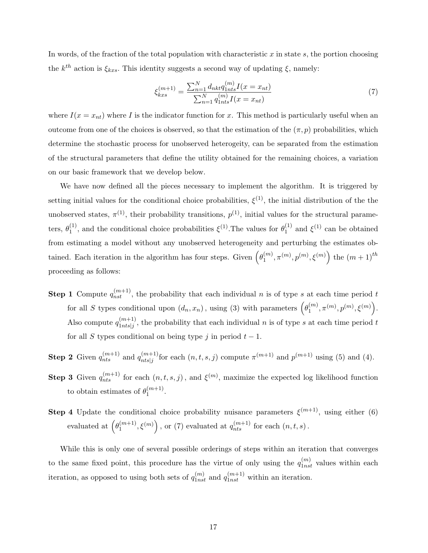In words, of the fraction of the total population with characteristic x in state s, the portion choosing the  $k^{th}$  action is  $\xi_{kxs}$ . This identity suggests a second way of updating  $\xi$ , namely:

$$
\xi_{kxs}^{(m+1)} = \frac{\sum_{n=1}^{N} d_{nkt} q_{1nts}^{(m)} I(x = x_{nt})}{\sum_{n=1}^{N} q_{1nts}^{(m)} I(x = x_{nt})}
$$
(7)

where  $I(x = x<sub>nt</sub>)$  where I is the indicator function for x. This method is particularly useful when an outcome from one of the choices is observed, so that the estimation of the  $(\pi, p)$  probabilities, which determine the stochastic process for unobserved heterogeity, can be separated from the estimation of the structural parameters that define the utility obtained for the remaining choices, a variation on our basic framework that we develop below.

We have now defined all the pieces necessary to implement the algorithm. It is triggered by setting initial values for the conditional choice probabilities,  $\xi^{(1)}$ , the initial distribution of the the unobserved states,  $\pi^{(1)}$ , their probability transitions,  $p^{(1)}$ , initial values for the structural parameters,  $\theta_1^{(1)}$ <sup>(1)</sup>, and the conditional choice probabilities  $\xi^{(1)}$ . The values for  $\theta_1^{(1)}$  $_1^{(1)}$  and  $\xi^{(1)}$  can be obtained from estimating a model without any unobserved heterogeneity and perturbing the estimates obtained. Each iteration in the algorithm has four steps. Given  $(\theta_1^{(m)})$  $\binom{m}{1}, \pi^{(m)}, p^{(m)}, \xi^{(m)}$  the  $(m+1)$ <sup>th</sup> proceeding as follows:

- **Step 1** Compute  $q_{nst}^{(m+1)}$ , the probability that each individual n is of type s at each time period t for all S types conditional upon  $(d_n, x_n)$ , using (3) with parameters  $(\theta_1^{(m)}$  ${ (m)\choose 1}, \pi^{(m)}, p^{(m)}, \xi^{(m)}\Big).$ Also compute  $q_{1ntel}^{(m+1)}$  $\binom{(m+1)}{1nts|j}$ , the probability that each individual n is of type s at each time period t for all S types conditional on being type j in period  $t - 1$ .
- **Step 2** Given  $q_{nts}^{(m+1)}$  and  $q_{ntsj}^{(m+1)}$  $\binom{(m+1)}{nts|j}$  for each  $(n, t, s, j)$  compute  $\pi^{(m+1)}$  and  $p^{(m+1)}$  using (5) and (4).
- **Step 3** Given  $q_{nts}^{(m+1)}$  for each  $(n, t, s, j)$ , and  $\xi^{(m)}$ , maximize the expected log likelihood function to obtain estimates of  $\theta_1^{(m+1)}$  $1^{(m+1)}$ .
- **Step 4** Update the conditional choice probability nuisance parameters  $\xi^{(m+1)}$ , using either (6) evaluated at  $(\theta_1^{(m+1)})$  $\binom{(m+1)}{1}, \xi^{(m)}$ , or (7) evaluated at  $q_{nts}^{(m+1)}$  for each  $(n, t, s)$ .

While this is only one of several possible orderings of steps within an iteration that converges to the same fixed point, this procedure has the virtue of only using the  $q_{1nst}^{(m)}$  values within each iteration, as opposed to using both sets of  $q_{1nst}^{(m)}$  and  $q_{1nst}^{(m+1)}$  within an iteration.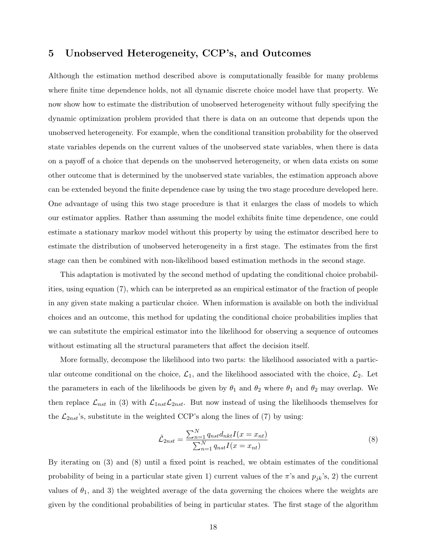## 5 Unobserved Heterogeneity, CCP's, and Outcomes

Although the estimation method described above is computationally feasible for many problems where finite time dependence holds, not all dynamic discrete choice model have that property. We now show how to estimate the distribution of unobserved heterogeneity without fully specifying the dynamic optimization problem provided that there is data on an outcome that depends upon the unobserved heterogeneity. For example, when the conditional transition probability for the observed state variables depends on the current values of the unobserved state variables, when there is data on a payoff of a choice that depends on the unobserved heterogeneity, or when data exists on some other outcome that is determined by the unobserved state variables, the estimation approach above can be extended beyond the finite dependence case by using the two stage procedure developed here. One advantage of using this two stage procedure is that it enlarges the class of models to which our estimator applies. Rather than assuming the model exhibits finite time dependence, one could estimate a stationary markov model without this property by using the estimator described here to estimate the distribution of unobserved heterogeneity in a first stage. The estimates from the first stage can then be combined with non-likelihood based estimation methods in the second stage.

This adaptation is motivated by the second method of updating the conditional choice probabilities, using equation (7), which can be interpreted as an empirical estimator of the fraction of people in any given state making a particular choice. When information is available on both the individual choices and an outcome, this method for updating the conditional choice probabilities implies that we can substitute the empirical estimator into the likelihood for observing a sequence of outcomes without estimating all the structural parameters that affect the decision itself.

More formally, decompose the likelihood into two parts: the likelihood associated with a particular outcome conditional on the choice,  $\mathcal{L}_1$ , and the likelihood associated with the choice,  $\mathcal{L}_2$ . Let the parameters in each of the likelihoods be given by  $\theta_1$  and  $\theta_2$  where  $\theta_1$  and  $\theta_2$  may overlap. We then replace  $\mathcal{L}_{nst}$  in (3) with  $\mathcal{L}_{1nst}\mathcal{L}_{2nst}$ . But now instead of using the likelihoods themselves for the  $\mathcal{L}_{2nst}$ 's, substitute in the weighted CCP's along the lines of (7) by using:

$$
\hat{\mathcal{L}}_{2nst} = \frac{\sum_{n=1}^{N} q_{nst} d_{nkt} I(x = x_{nt})}{\sum_{n=1}^{N} q_{nst} I(x = x_{nt})}
$$
(8)

By iterating on (3) and (8) until a fixed point is reached, we obtain estimates of the conditional probability of being in a particular state given 1) current values of the  $\pi$ 's and  $p_{jk}$ 's, 2) the current values of  $\theta_1$ , and 3) the weighted average of the data governing the choices where the weights are given by the conditional probabilities of being in particular states. The first stage of the algorithm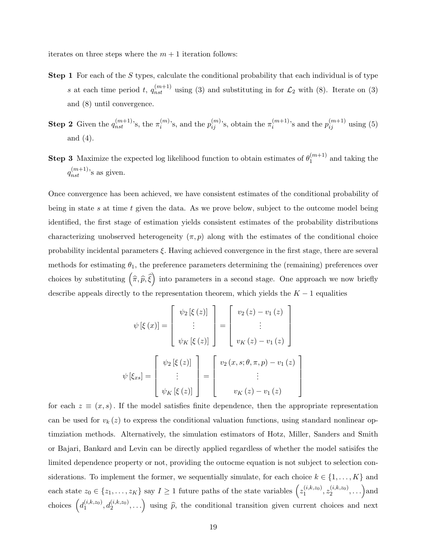iterates on three steps where the  $m + 1$  iteration follows:

- **Step 1** For each of the S types, calculate the conditional probability that each individual is of type s at each time period t,  $q_{nst}^{(m+1)}$  using (3) and substituting in for  $\mathcal{L}_2$  with (8). Iterate on (3) and (8) until convergence.
- **Step 2** Given the  $q_{nst}^{(m+1)}$ 's, the  $\pi_i^{(m)}$  $\binom{m}{i}$ 's, and the  $p_{ij}^{(m)}$ 's, obtain the  $\pi_i^{(m+1)}$  $i^{(m+1)}$ 's and the  $p_{ij}^{(m+1)}$  using (5) and (4).
- **Step 3** Maximize the expected log likelihood function to obtain estimates of  $\theta_1^{(m+1)}$  $1^{(m+1)}$  and taking the  $q_{nst}^{(m+1)}$ 's as given.

Once convergence has been achieved, we have consistent estimates of the conditional probability of being in state s at time t given the data. As we prove below, subject to the outcome model being identified, the first stage of estimation yields consistent estimates of the probability distributions characterizing unobserved heterogeneity  $(\pi, p)$  along with the estimates of the conditional choice probability incidental parameters  $\xi$ . Having achieved convergence in the first stage, there are several methods for estimating  $\theta_1$ , the preference parameters determining the (remaining) preferences over choices by substituting  $(\hat{\pi}, \hat{p}, \hat{\xi})$  into parameters in a second stage. One approach we now briefly describe appeals directly to the representation theorem, which yields the  $K - 1$  equalities

$$
\psi\left[\xi\left(x\right)\right] = \begin{bmatrix} \psi_2\left[\xi\left(z\right)\right] \\ \vdots \\ \psi_K\left[\xi\left(z\right)\right] \end{bmatrix} = \begin{bmatrix} v_2\left(z\right) - v_1\left(z\right) \\ \vdots \\ v_K\left(z\right) - v_1\left(z\right) \end{bmatrix}
$$

$$
\psi\left[\xi_{xs}\right] = \begin{bmatrix} \psi_2\left[\xi\left(z\right)\right] \\ \vdots \\ \psi_K\left[\xi\left(z\right)\right] \end{bmatrix} = \begin{bmatrix} v_2\left(x, s; \theta, \pi, p\right) - v_1\left(z\right) \\ \vdots \\ v_K\left(z\right) - v_1\left(z\right) \end{bmatrix}
$$

1  $\mathbf{I}$  $\mathbf{I}$  $\mathbf{I}$  $\overline{1}$ 

for each  $z \equiv (x, s)$ . If the model satisfies finite dependence, then the appropriate representation can be used for  $v_k(z)$  to express the conditional valuation functions, using standard nonlinear optimziation methods. Alternatively, the simulation estimators of Hotz, Miller, Sanders and Smith or Bajari, Bankard and Levin can be directly applied regardless of whether the model satisifes the limited dependence property or not, providing the outocme equation is not subject to selection considerations. To implement the former, we sequentially simulate, for each choice  $k \in \{1, \ldots, K\}$  and each state  $z_0 \in \{z_1, \ldots, z_K\}$  say  $I \geq 1$  future paths of the state variables  $\left(z_1^{(i,k,z_0)}\right)$  $\chi_1^{(i,k,z_0)}, z_2^{(i,k,z_0)}$  $\binom{(i,k,z_0)}{2}, \ldots$  and choices  $\left(d_1^{(i,k,z_0)}\right)$  $\left( \begin{array}{c} (i,k,z_0) \\ 1 \end{array}, d_2^{(i,k,z_0)}, \ldots \right)$  using  $\widehat{p}$ , the conditional transition given current choices and next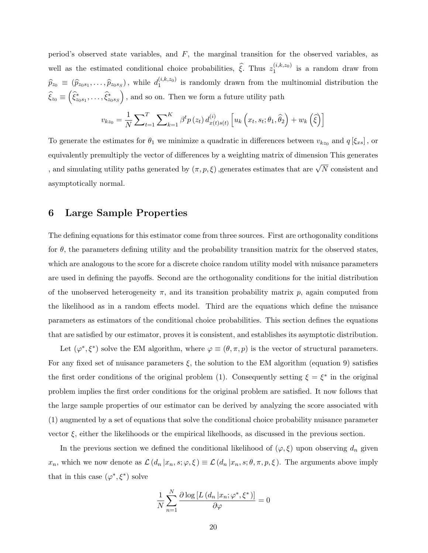period's observed state variables, and  $F$ , the marginal transition for the observed variables, as well as the estimated conditional choice probabilities,  $\hat{\xi}$ . Thus  $z_1^{(i,k,z_0)}$  $i^{(i,k,20)}$  is a random draw from  $\widehat{p}_{z_0} \equiv (\widehat{p}_{z_0s_1}, \ldots, \widehat{p}_{z_0s_S}),$  while  $d_1^{(i,k,z_0)}$  $i<sub>1</sub>^{(i,k, z<sub>0</sub>)}$  is randomly drawn from the multinomial distribution the  $\widehat{\xi}_{z_0} \equiv \left( \widehat{\xi}^*_{z_0 s_1}, \ldots, \widehat{\xi}^*_{z_0 s_S} \right)$ , and so on. Then we form a future utility path

$$
v_{k z_0} = \frac{1}{N} \sum_{t=1}^{T} \sum_{k=1}^{K} \beta^t p(z_t) d_{x(t)s(t)}^{(i)} \left[ u_k \left( x_t, s_t; \theta_1, \hat{\theta}_2 \right) + w_k \left( \hat{\xi} \right) \right]
$$

To generate the estimates for  $\theta_1$  we minimize a quadratic in differences between  $v_{kz_0}$  and  $q[\xi_{xs}]$ , or equivalently premultiply the vector of differences by a weighting matrix of dimension This generates , and simulating utility paths generated by  $(\pi, p, \xi)$  ,generates estimates that are  $\sqrt{N}$  consistent and asymptotically normal.

### 6 Large Sample Properties

The defining equations for this estimator come from three sources. First are orthogonality conditions for  $\theta$ , the parameters defining utility and the probability transition matrix for the observed states, which are analogous to the score for a discrete choice random utility model with nuisance parameters are used in defining the payoffs. Second are the orthogonality conditions for the initial distribution of the unobserved heterogeneity  $\pi$ , and its transition probability matrix p, again computed from the likelihood as in a random effects model. Third are the equations which define the nuisance parameters as estimators of the conditional choice probabilities. This section defines the equations that are satisfied by our estimator, proves it is consistent, and establishes its asymptotic distribution.

Let  $(\varphi^*, \xi^*)$  solve the EM algorithm, where  $\varphi \equiv (\theta, \pi, p)$  is the vector of structural parameters. For any fixed set of nuisance parameters  $\xi$ , the solution to the EM algorithm (equation 9) satisfies the first order conditions of the original problem (1). Consequently setting  $\xi = \xi^*$  in the original problem implies the first order conditions for the original problem are satisfied. It now follows that the large sample properties of our estimator can be derived by analyzing the score associated with (1) augmented by a set of equations that solve the conditional choice probability nuisance parameter vector  $\xi$ , either the likelihoods or the empirical likelhoods, as discussed in the previous section.

In the previous section we defined the conditional likelihood of  $(\varphi, \xi)$  upon observing  $d_n$  given  $x_n$ , which we now denote as  $\mathcal{L}(d_n | x_n, s; \varphi, \xi) \equiv \mathcal{L}(d_n | x_n, s; \theta, \pi, p, \xi)$ . The arguments above imply that in this case  $(\varphi^*, \xi^*)$  solve

$$
\frac{1}{N} \sum_{n=1}^{N} \frac{\partial \log \left[ L \left( d_n \left| x_n; \varphi^*, \xi^* \right) \right] }{\partial \varphi} = 0
$$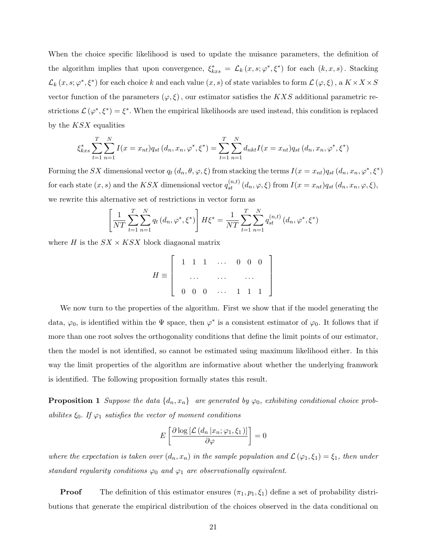When the choice specific likelihood is used to update the nuisance parameters, the definition of the algorithm implies that upon convergence,  $\xi_{kxs}^* = \mathcal{L}_k(x, s; \varphi^*, \xi^*)$  for each  $(k, x, s)$ . Stacking  $\mathcal{L}_k(x, s; \varphi^*, \xi^*)$  for each choice k and each value  $(x, s)$  of state variables to form  $\mathcal{L}(\varphi, \xi)$ , a  $K \times X \times S$ vector function of the parameters  $(\varphi, \xi)$ , our estimator satisfies the KXS additional parametric restrictions  $\mathcal{L}(\varphi^*, \xi^*) = \xi^*$ . When the empirical likelihoods are used instead, this condition is replaced by the  $KSX$  equalities

$$
\xi_{kxs}^* \sum_{t=1}^T \sum_{n=1}^N I(x = x_{nt}) q_{st}(d_n, x_n, \varphi^*, \xi^*) = \sum_{t=1}^T \sum_{n=1}^N d_{nkt} I(x = x_{nt}) q_{st}(d_n, x_n, \varphi^*, \xi^*)
$$

Forming the SX dimensional vector  $q_t(d_n, \theta, \varphi, \xi)$  from stacking the terms  $I(x = x_{nt})q_{st}(d_n, x_n, \varphi^*, \xi^*)$ for each state  $(x, s)$  and the KSX dimensional vector  $q_{st}^{(n,t)}(d_n, \varphi, \xi)$  from  $I(x = x_{nt})q_{st}(d_n, x_n, \varphi, \xi)$ , we rewrite this alternative set of restrictions in vector form as

$$
\left[\frac{1}{NT}\sum_{t=1}^{T}\sum_{n=1}^{N}q_t(d_n,\varphi^*,\xi^*)\right]H\xi^* = \frac{1}{NT}\sum_{t=1}^{T}\sum_{n=1}^{N}q_{st}^{(n,t)}(d_n,\varphi^*,\xi^*)
$$

where H is the  $SX \times KSX$  block diagonal matrix

$$
H \equiv \left[ \begin{array}{cccccc} 1 & 1 & 1 & \cdots & 0 & 0 & 0 \\ & \cdots & & \cdots & & \cdots \\ 0 & 0 & 0 & \cdots & 1 & 1 & 1 \end{array} \right]
$$

We now turn to the properties of the algorithm. First we show that if the model generating the data,  $\varphi_0$ , is identified within the  $\Psi$  space, then  $\varphi^*$  is a consistent estimator of  $\varphi_0$ . It follows that if more than one root solves the orthogonality conditions that define the limit points of our estimator, then the model is not identified, so cannot be estimated using maximum likelihood either. In this way the limit properties of the algorithm are informative about whether the underlying framwork is identified. The following proposition formally states this result.

**Proposition 1** Suppose the data  $\{d_n, x_n\}$  are generated by  $\varphi_0$ , exhibiting conditional choice probabilites  $\xi_0$ . If  $\varphi_1$  satisfies the vector of moment conditions

$$
E\left[\frac{\partial \log\left[\mathcal{L}\left(d_n \left| x_n; \varphi_1, \xi_1 \right.\right)\right]}{\partial \varphi}\right] = 0
$$

where the expectation is taken over  $(d_n, x_n)$  in the sample population and  $\mathcal{L}(\varphi_1, \xi_1) = \xi_1$ , then under standard regularity conditions  $\varphi_0$  and  $\varphi_1$  are observationally equivalent.

**Proof** The definition of this estimator ensures  $(\pi_1, p_1, \xi_1)$  define a set of probability distributions that generate the empirical distribution of the choices observed in the data conditional on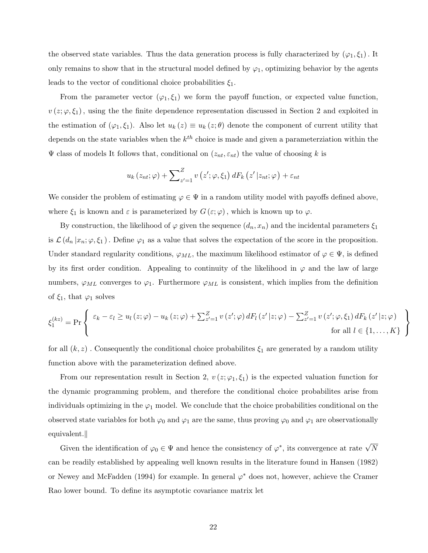the observed state variables. Thus the data generation process is fully characterized by  $(\varphi_1, \xi_1)$ . It only remains to show that in the structural model defined by  $\varphi_1$ , optimizing behavior by the agents leads to the vector of conditional choice probabilities  $\xi_1$ .

From the parameter vector  $(\varphi_1, \xi_1)$  we form the payoff function, or expected value function,  $v(z; \varphi, \xi_1)$ , using the the finite dependence representation discussed in Section 2 and exploited in the estimation of  $(\varphi_1, \xi_1)$ . Also let  $u_k(z) \equiv u_k(z; \theta)$  denote the component of current utility that depends on the state variables when the  $k^{th}$  choice is made and given a parameterziation within the  $\Psi$  class of models It follows that, conditional on  $(z_{nt}, \varepsilon_{nt})$  the value of choosing k is

$$
u_{k}(z_{nt};\varphi) + \sum_{z'=1}^{Z} v(z';\varphi,\xi_{1}) dF_{k}(z'|z_{nt};\varphi) + \varepsilon_{nt}
$$

We consider the problem of estimating  $\varphi \in \Psi$  in a random utility model with payoffs defined above, where  $\xi_1$  is known and  $\varepsilon$  is parameterized by  $G(\varepsilon;\varphi)$ , which is known up to  $\varphi$ .

By construction, the likelihood of  $\varphi$  given the sequence  $(d_n, x_n)$  and the incidental parameters  $\xi_1$ is  $\mathcal{L}(d_n | x_n; \varphi, \xi_1)$ . Define  $\varphi_1$  as a value that solves the expectation of the score in the proposition. Under standard regularity conditions,  $\varphi_{ML}$ , the maximum likelihood estimator of  $\varphi \in \Psi$ , is defined by its first order condition. Appealing to continuity of the likelihood in  $\varphi$  and the law of large numbers,  $\varphi_{ML}$  converges to  $\varphi_1$ . Furthermore  $\varphi_{ML}$  is consistent, which implies from the definition of  $\xi_1$ , that  $\varphi_1$  solves

$$
\xi_1^{(kz)} = \Pr \left\{ \begin{array}{c} \varepsilon_k - \varepsilon_l \ge u_l(z;\varphi) - u_k(z;\varphi) + \sum_{z'=1}^Z v(z';\varphi) dF_l(z'|z;\varphi) - \sum_{z'=1}^Z v(z';\varphi,\xi_1) dF_k(z'|z;\varphi) \\ \text{for all } l \in \{1,\ldots,K\} \end{array} \right.
$$

 $\mathcal{L}$  $\mathcal{L}$  $\mathsf{I}$ 

for all  $(k, z)$ . Consequently the conditional choice probabilites  $\xi_1$  are generated by a random utility function above with the parameterization defined above.

From our representation result in Section 2,  $v(z; \varphi_1, \xi_1)$  is the expected valuation function for the dynamic programming problem, and therefore the conditional choice probabilites arise from individuals optimizing in the  $\varphi_1$  model. We conclude that the choice probabilities conditional on the observed state variables for both  $\varphi_0$  and  $\varphi_1$  are the same, thus proving  $\varphi_0$  and  $\varphi_1$  are observationally  $equivalent.$ 

Given the identification of  $\varphi_0 \in \Psi$  and hence the consistency of  $\varphi^*$ , its convergence at rate  $\sqrt{N}$ can be readily established by appealing well known results in the literature found in Hansen (1982) or Newey and McFadden (1994) for example. In general  $\varphi^*$  does not, however, achieve the Cramer Rao lower bound. To define its asymptotic covariance matrix let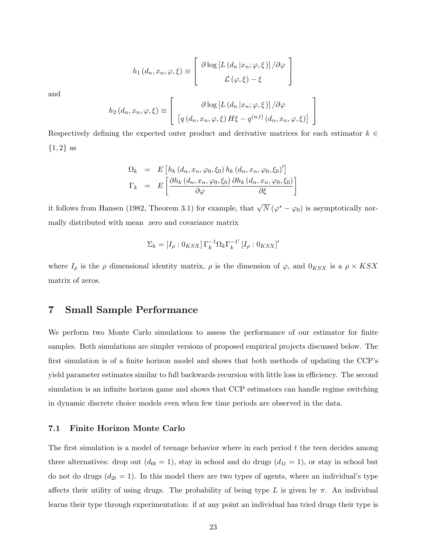$$
h_1(d_n, x_n, \varphi, \xi) \equiv \left[ \begin{array}{c} \partial \log \left[ L\left( d_n | x_n; \varphi, \xi \right) \right] / \partial \varphi \\ \mathcal{L} \left( \varphi, \xi \right) - \xi \end{array} \right]
$$

and

$$
h_2(d_n, x_n, \varphi, \xi) \equiv \begin{bmatrix} \partial \log \left[ L\left( d_n | x_n; \varphi, \xi \right) \right] / \partial \varphi \\ \left[ q\left( d_n, x_n, \varphi, \xi \right) H \xi - q^{(n, t)}\left( d_n, x_n, \varphi, \xi \right) \right] \end{bmatrix}
$$

1  $\overline{1}$ 

Respectively defining the expected outer product and derivative matrices for each estimator  $k \in$  $\{1,2\}$  as

$$
\Omega_k = E \left[ h_k (d_n, x_n, \varphi_0, \xi_0) h_k (d_n, x_n, \varphi_0, \xi_0)' \right]
$$
  
\n
$$
\Gamma_k = E \left[ \frac{\partial h_k (d_n, x_n, \varphi_0, \xi_0)}{\partial \varphi} \frac{\partial h_k (d_n, x_n, \varphi_0, \xi_0)}{\partial \xi} \right]
$$

it follows from Hansen (1982, Theorem 3.1) for example, that  $\sqrt{N} (\varphi^* - \varphi_0)$  is asymptotically normally distributed with mean zero and covariance matrix

$$
\Sigma_k = [I_\rho : 0_{KSX}] \,\Gamma_k^{-1} \Omega_k \Gamma_k^{-1'} \left[ I_\rho : 0_{KSX} \right]'
$$

where  $I_{\rho}$  is the  $\rho$  dimensional identity matrix,  $\rho$  is the dimension of  $\varphi$ , and  $0_{KSX}$  is a  $\rho \times KSX$ matrix of zeros.

## 7 Small Sample Performance

We perform two Monte Carlo simulations to assess the performance of our estimator for finite samples. Both simulations are simpler versions of proposed empirical projects discussed below. The first simulation is of a finite horizon model and shows that both methods of updating the CCP's yield parameter estimates similar to full backwards recursion with little loss in efficiency. The second simulation is an infinite horizon game and shows that CCP estimators can handle regime switching in dynamic discrete choice models even when few time periods are observed in the data.

#### 7.1 Finite Horizon Monte Carlo

The first simulation is a model of teenage behavior where in each period  $t$  the teen decides among three alternatives: drop out  $(d_{0t} = 1)$ , stay in school and do drugs  $(d_{1t} = 1)$ , or stay in school but do not do drugs  $(d_{2t} = 1)$ . In this model there are two types of agents, where an individual's type affects their utility of using drugs. The probability of being type L is given by  $\pi$ . An individual learns their type through experimentation: if at any point an individual has tried drugs their type is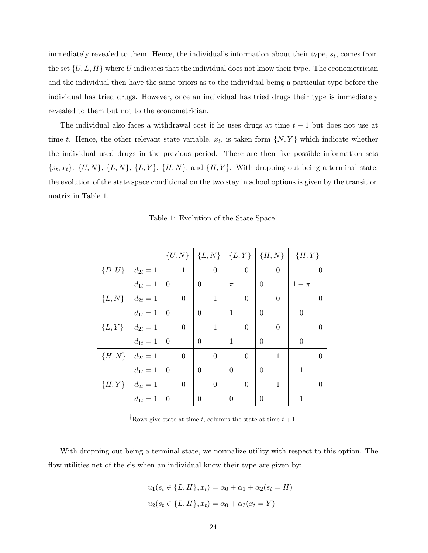immediately revealed to them. Hence, the individual's information about their type,  $s_t$ , comes from the set  $\{U, L, H\}$  where U indicates that the individual does not know their type. The econometrician and the individual then have the same priors as to the individual being a particular type before the individual has tried drugs. However, once an individual has tried drugs their type is immediately revealed to them but not to the econometrician.

The individual also faces a withdrawal cost if he uses drugs at time  $t-1$  but does not use at time t. Hence, the other relevant state variable,  $x_t$ , is taken form  $\{N, Y\}$  which indicate whether the individual used drugs in the previous period. There are then five possible information sets  $\{s_t, x_t\}$ :  $\{U, N\}$ ,  $\{L, N\}$ ,  $\{L, Y\}$ ,  $\{H, N\}$ , and  $\{H, Y\}$ . With dropping out being a terminal state, the evolution of the state space conditional on the two stay in school options is given by the transition matrix in Table 1.

Table 1: Evolution of the State Space†

|                         |                      |                  |                  |                  | $\{U, N\}$ $\{L, N\}$ $\{L, Y\}$ $\{H, N\}$ $\{H, Y\}$ |                  |
|-------------------------|----------------------|------------------|------------------|------------------|--------------------------------------------------------|------------------|
| $\{D, U\}$ $d_{2t} = 1$ |                      | $\mathbf{1}$     | $\boldsymbol{0}$ | $\boldsymbol{0}$ | $\theta$                                               | $\overline{0}$   |
|                         | $d_{1t} = 1 \, \, 0$ |                  | $\theta$         | $\pi$            | $\overline{0}$                                         | $1-\pi$          |
| ${L, N}$ $d_{2t} = 1$   |                      | $\theta$         | 1                | $\overline{0}$   | $\theta$                                               | $\theta$         |
|                         | $d_{1t} = 1 \, \, 0$ |                  | $\overline{0}$   | 1                | $\theta$                                               | $\overline{0}$   |
| ${L,Y}$ $d_{2t} = 1$    |                      | $\overline{0}$   | $\mathbf{1}$     | $\overline{0}$   | $\theta$                                               | $\theta$         |
|                         | $d_{1t} = 1 \, \, 0$ |                  | $\overline{0}$   | 1                | $\theta$                                               | $\boldsymbol{0}$ |
| ${H, N}$ $d_{2t} = 1$   |                      | $\boldsymbol{0}$ | $\overline{0}$   | $\overline{0}$   | 1                                                      | $\overline{0}$   |
|                         | $d_{1t} = 1 \, \, 0$ |                  | $\theta$         | $\Omega$         | $\Omega$                                               | 1                |
| ${H, Y}$ $d_{2t} = 1$   |                      | $\overline{0}$   | $\overline{0}$   | $\overline{0}$   | $\mathbf{1}$                                           | $\Omega$         |
|                         | $d_{1t} = 1 \, \, 0$ |                  | $\overline{0}$   | $\theta$         | $\overline{0}$                                         |                  |

<sup>†</sup>Rows give state at time t, columns the state at time  $t + 1$ .

With dropping out being a terminal state, we normalize utility with respect to this option. The flow utilities net of the  $\epsilon$ 's when an individual know their type are given by:

$$
u_1(s_t \in \{L, H\}, x_t) = \alpha_0 + \alpha_1 + \alpha_2(s_t = H)
$$
  

$$
u_2(s_t \in \{L, H\}, x_t) = \alpha_0 + \alpha_3(x_t = Y)
$$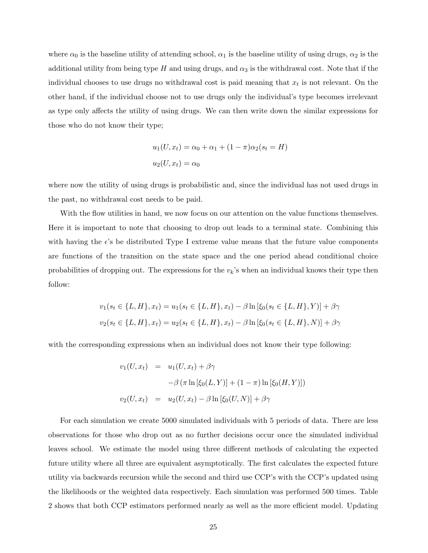where  $\alpha_0$  is the baseline utility of attending school,  $\alpha_1$  is the baseline utility of using drugs,  $\alpha_2$  is the additional utility from being type H and using drugs, and  $\alpha_3$  is the withdrawal cost. Note that if the individual chooses to use drugs no withdrawal cost is paid meaning that  $x_t$  is not relevant. On the other hand, if the individual choose not to use drugs only the individual's type becomes irrelevant as type only affects the utility of using drugs. We can then write down the similar expressions for those who do not know their type;

$$
u_1(U, x_t) = \alpha_0 + \alpha_1 + (1 - \pi)\alpha_2(s_t = H)
$$
  

$$
u_2(U, x_t) = \alpha_0
$$

where now the utility of using drugs is probabilistic and, since the individual has not used drugs in the past, no withdrawal cost needs to be paid.

With the flow utilities in hand, we now focus on our attention on the value functions themselves. Here it is important to note that choosing to drop out leads to a terminal state. Combining this with having the  $\epsilon$ 's be distributed Type I extreme value means that the future value components are functions of the transition on the state space and the one period ahead conditional choice probabilities of dropping out. The expressions for the  $v_k$ 's when an individual knows their type then follow:

$$
v_1(s_t \in \{L, H\}, x_t) = u_1(s_t \in \{L, H\}, x_t) - \beta \ln \left[\xi_0(s_t \in \{L, H\}, Y)\right] + \beta \gamma
$$
  

$$
v_2(s_t \in \{L, H\}, x_t) = u_2(s_t \in \{L, H\}, x_t) - \beta \ln \left[\xi_0(s_t \in \{L, H\}, N)\right] + \beta \gamma
$$

with the corresponding expressions when an individual does not know their type following:

$$
v_1(U, x_t) = u_1(U, x_t) + \beta \gamma
$$
  

$$
-\beta (\pi \ln [\xi_0(L, Y)] + (1 - \pi) \ln [\xi_0(H, Y)])
$$
  

$$
v_2(U, x_t) = u_2(U, x_t) - \beta \ln [\xi_0(U, N)] + \beta \gamma
$$

For each simulation we create 5000 simulated individuals with 5 periods of data. There are less observations for those who drop out as no further decisions occur once the simulated individual leaves school. We estimate the model using three different methods of calculating the expected future utility where all three are equivalent asymptotically. The first calculates the expected future utility via backwards recursion while the second and third use CCP's with the CCP's updated using the likelihoods or the weighted data respectively. Each simulation was performed 500 times. Table 2 shows that both CCP estimators performed nearly as well as the more efficient model. Updating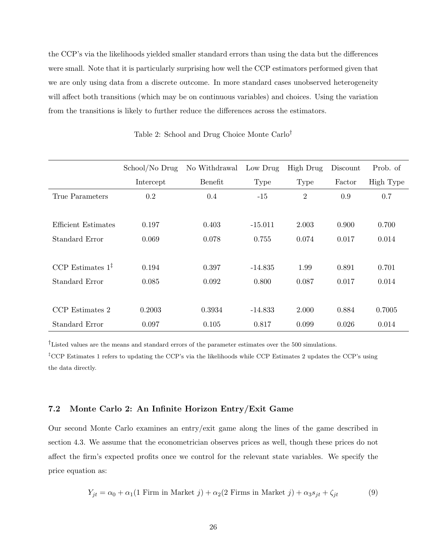the CCP's via the likelihoods yielded smaller standard errors than using the data but the differences were small. Note that it is particularly surprising how well the CCP estimators performed given that we are only using data from a discrete outcome. In more standard cases unobserved heterogeneity will affect both transitions (which may be on continuous variables) and choices. Using the variation from the transitions is likely to further reduce the differences across the estimators.

|                              | School/No Drug | No Withdrawal | Low Drug    | <b>High Drug</b> | Discount | Prob. of  |
|------------------------------|----------------|---------------|-------------|------------------|----------|-----------|
|                              | Intercept      | Benefit       | <b>Type</b> | Type             | Factor   | High Type |
| True Parameters              | 0.2            | 0.4           | $-15$       | $\overline{2}$   | 0.9      | 0.7       |
|                              |                |               |             |                  |          |           |
| Efficient Estimates          | 0.197          | 0.403         | $-15.011$   | 2.003            | 0.900    | 0.700     |
| Standard Error               | 0.069          | 0.078         | 0.755       | 0.074            | 0.017    | 0.014     |
|                              |                |               |             |                  |          |           |
| CCP Estimates $1^{\ddagger}$ | 0.194          | 0.397         | $-14.835$   | 1.99             | 0.891    | 0.701     |
| Standard Error               | 0.085          | 0.092         | 0.800       | 0.087            | 0.017    | 0.014     |
|                              |                |               |             |                  |          |           |
| CCP Estimates 2              | 0.2003         | 0.3934        | $-14.833$   | 2.000            | 0.884    | 0.7005    |
| Standard Error               | 0.097          | 0.105         | 0.817       | 0.099            | 0.026    | 0.014     |

Table 2: School and Drug Choice Monte Carlo†

†Listed values are the means and standard errors of the parameter estimates over the 500 simulations.

‡CCP Estimates 1 refers to updating the CCP's via the likelihoods while CCP Estimates 2 updates the CCP's using the data directly.

#### 7.2 Monte Carlo 2: An Infinite Horizon Entry/Exit Game

Our second Monte Carlo examines an entry/exit game along the lines of the game described in section 4.3. We assume that the econometrician observes prices as well, though these prices do not affect the firm's expected profits once we control for the relevant state variables. We specify the price equation as:

$$
Y_{jt} = \alpha_0 + \alpha_1 (1 \text{ Firm in Market } j) + \alpha_2 (2 \text{ Firms in Market } j) + \alpha_3 s_{jt} + \zeta_{jt}
$$
 (9)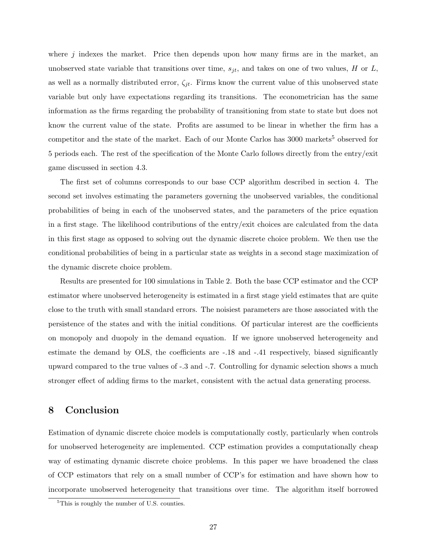where  $j$  indexes the market. Price then depends upon how many firms are in the market, and unobserved state variable that transitions over time,  $s_{jt}$ , and takes on one of two values, H or L, as well as a normally distributed error,  $\zeta_{jt}$ . Firms know the current value of this unobserved state variable but only have expectations regarding its transitions. The econometrician has the same information as the firms regarding the probability of transitioning from state to state but does not know the current value of the state. Profits are assumed to be linear in whether the firm has a competitor and the state of the market. Each of our Monte Carlos has 3000 markets<sup>5</sup> observed for 5 periods each. The rest of the specification of the Monte Carlo follows directly from the entry/exit game discussed in section 4.3.

The first set of columns corresponds to our base CCP algorithm described in section 4. The second set involves estimating the parameters governing the unobserved variables, the conditional probabilities of being in each of the unobserved states, and the parameters of the price equation in a first stage. The likelihood contributions of the entry/exit choices are calculated from the data in this first stage as opposed to solving out the dynamic discrete choice problem. We then use the conditional probabilities of being in a particular state as weights in a second stage maximization of the dynamic discrete choice problem.

Results are presented for 100 simulations in Table 2. Both the base CCP estimator and the CCP estimator where unobserved heterogeneity is estimated in a first stage yield estimates that are quite close to the truth with small standard errors. The noisiest parameters are those associated with the persistence of the states and with the initial conditions. Of particular interest are the coefficients on monopoly and duopoly in the demand equation. If we ignore unobserved heterogeneity and estimate the demand by OLS, the coefficients are -.18 and -.41 respectively, biased significantly upward compared to the true values of -.3 and -.7. Controlling for dynamic selection shows a much stronger effect of adding firms to the market, consistent with the actual data generating process.

## 8 Conclusion

Estimation of dynamic discrete choice models is computationally costly, particularly when controls for unobserved heterogeneity are implemented. CCP estimation provides a computationally cheap way of estimating dynamic discrete choice problems. In this paper we have broadened the class of CCP estimators that rely on a small number of CCP's for estimation and have shown how to incorporate unobserved heterogeneity that transitions over time. The algorithm itself borrowed

<sup>&</sup>lt;sup>5</sup>This is roughly the number of U.S. counties.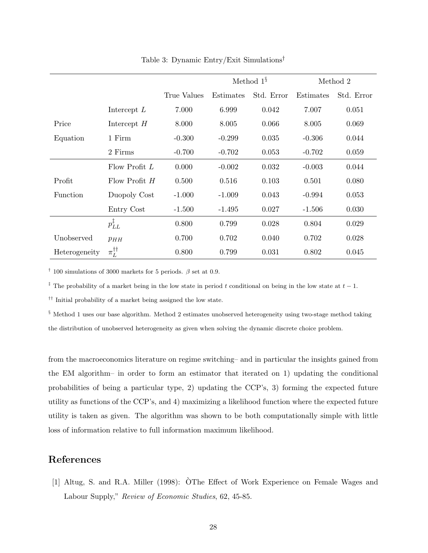|               |                          |             | Method $1^{\S}$ |            | Method 2  |            |
|---------------|--------------------------|-------------|-----------------|------------|-----------|------------|
|               |                          | True Values | Estimates       | Std. Error | Estimates | Std. Error |
|               | Intercept $L$            | 7.000       | 6.999           | 0.042      | 7.007     | 0.051      |
| Price         | Intercept $H$            | 8.000       | 8.005           | 0.066      | 8.005     | 0.069      |
| Equation      | 1 Firm                   | $-0.300$    | $-0.299$        | 0.035      | $-0.306$  | 0.044      |
|               | 2 Firms                  | $-0.700$    | $-0.702$        | 0.053      | $-0.702$  | 0.059      |
|               | Flow Profit $L$          | 0.000       | $-0.002$        | 0.032      | $-0.003$  | 0.044      |
| Profit        | Flow Profit $H$          | 0.500       | 0.516           | 0.103      | 0.501     | 0.080      |
| Function      | Duopoly Cost             | $-1.000$    | $-1.009$        | 0.043      | $-0.994$  | 0.053      |
|               | Entry Cost               | $-1.500$    | $-1.495$        | 0.027      | $-1.506$  | 0.030      |
|               | $p_{LL}^{\ddagger}$      | 0.800       | 0.799           | 0.028      | 0.804     | 0.029      |
| Unobserved    | $p_{HH}$                 | 0.700       | 0.702           | 0.040      | 0.702     | 0.028      |
| Heterogeneity | $\pi_L^{\dagger\dagger}$ | 0.800       | 0.799           | 0.031      | 0.802     | 0.045      |

Table 3: Dynamic Entry/Exit Simulations†

<sup>†</sup> 100 simulations of 3000 markets for 5 periods.  $\beta$  set at 0.9.

<sup>‡</sup> The probability of a market being in the low state in period t conditional on being in the low state at  $t-1$ .

†† Initial probability of a market being assigned the low state.

§ Method 1 uses our base algorithm. Method 2 estimates unobserved heterogeneity using two-stage method taking the distribution of unobserved heterogeneity as given when solving the dynamic discrete choice problem.

from the macroeconomics literature on regime switching– and in particular the insights gained from the EM algorithm– in order to form an estimator that iterated on 1) updating the conditional probabilities of being a particular type, 2) updating the CCP's, 3) forming the expected future utility as functions of the CCP's, and 4) maximizing a likelihood function where the expected future utility is taken as given. The algorithm was shown to be both computationally simple with little loss of information relative to full information maximum likelihood.

## References

[1] Altug, S. and R.A. Miller (1998): OThe Effect of Work Experience on Female Wages and ` Labour Supply," Review of Economic Studies, 62, 45-85.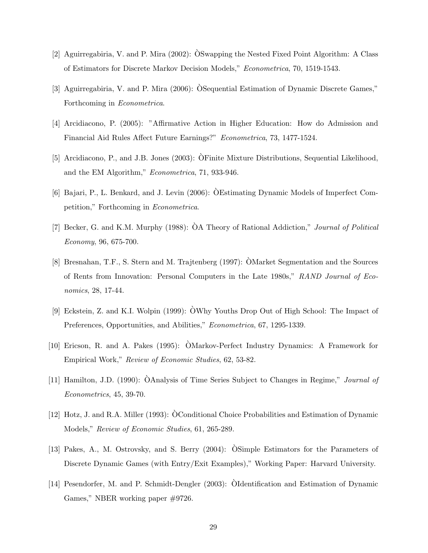- [2] Aguirregabiria, V. and P. Mira (2002): OSwapping the Nested Fixed Point Algorithm: A Class ` of Estimators for Discrete Markov Decision Models," Econometrica, 70, 1519-1543.
- [3] Aguirregabiria, V. and P. Mira (2006): OSequential Estimation of Dynamic Discrete Games," ` Forthcoming in Econometrica.
- [4] Arcidiacono, P. (2005): "Affirmative Action in Higher Education: How do Admission and Financial Aid Rules Affect Future Earnings?" Econometrica, 73, 1477-1524.
- [5] Arcidiacono, P., and J.B. Jones (2003): OFinite Mixture Distributions, Sequential Likelihood, ` and the EM Algorithm," Econometrica, 71, 933-946.
- [6] Bajari, P., L. Benkard, and J. Levin (2006): OEstimating Dynamic Models of Imperfect Com- ` petition," Forthcoming in Econometrica.
- [7] Becker, G. and K.M. Murphy (1988):  $\hat{O}A$  Theory of Rational Addiction," Journal of Political Economy, 96, 675-700.
- [8] Bresnahan, T.F., S. Stern and M. Trajtenberg (1997): OMarket Segmentation and the Sources ` of Rents from Innovation: Personal Computers in the Late 1980s," RAND Journal of Economics, 28, 17-44.
- [9] Eckstein, Z. and K.I. Wolpin (1999): OWhy Youths Drop Out of High School: The Impact of ` Preferences, Opportunities, and Abilities," *Econometrica*, 67, 1295-1339.
- [10] Ericson, R. and A. Pakes (1995): OMarkov-Perfect Industry Dynamics: A Framework for ` Empirical Work," Review of Economic Studies, 62, 53-82.
- [11] Hamilton, J.D. (1990): OAnalysis of Time Series Subject to Changes in Regime," Journal of Econometrics, 45, 39-70.
- [12] Hotz, J. and R.A. Miller (1993): OConditional Choice Probabilities and Estimation of Dynamic Models," Review of Economic Studies, 61, 265-289.
- [13] Pakes, A., M. Ostrovsky, and S. Berry (2004): OSimple Estimators for the Parameters of ` Discrete Dynamic Games (with Entry/Exit Examples)," Working Paper: Harvard University.
- [14] Pesendorfer, M. and P. Schmidt-Dengler (2003): OIdentification and Estimation of Dynamic ` Games," NBER working paper #9726.